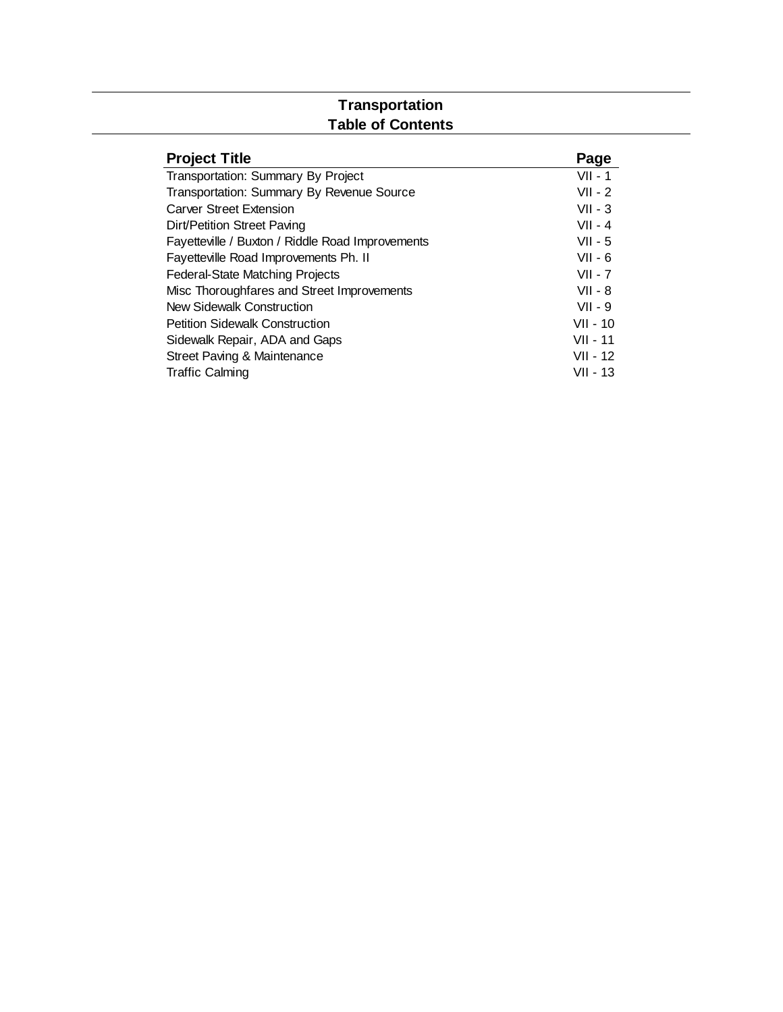## **Transportation Table of Contents**

| <b>Project Title</b>                             | Page       |
|--------------------------------------------------|------------|
| Transportation: Summary By Project               | $VII - 1$  |
| Transportation: Summary By Revenue Source        | $VII - 2$  |
| Carver Street Extension                          | $VII - 3$  |
| Dirt/Petition Street Paving                      | $VII - 4$  |
| Fayetteville / Buxton / Riddle Road Improvements | $VII - 5$  |
| Fayetteville Road Improvements Ph. II            | $VII - 6$  |
| <b>Federal-State Matching Projects</b>           | $VII - 7$  |
| Misc Thoroughfares and Street Improvements       | $VII - 8$  |
| New Sidewalk Construction                        | $VII - 9$  |
| <b>Petition Sidewalk Construction</b>            | $VII - 10$ |
| Sidewalk Repair, ADA and Gaps                    | VII - 11   |
| Street Paving & Maintenance                      | VII - 12   |
| <b>Traffic Calming</b>                           | VII - 13   |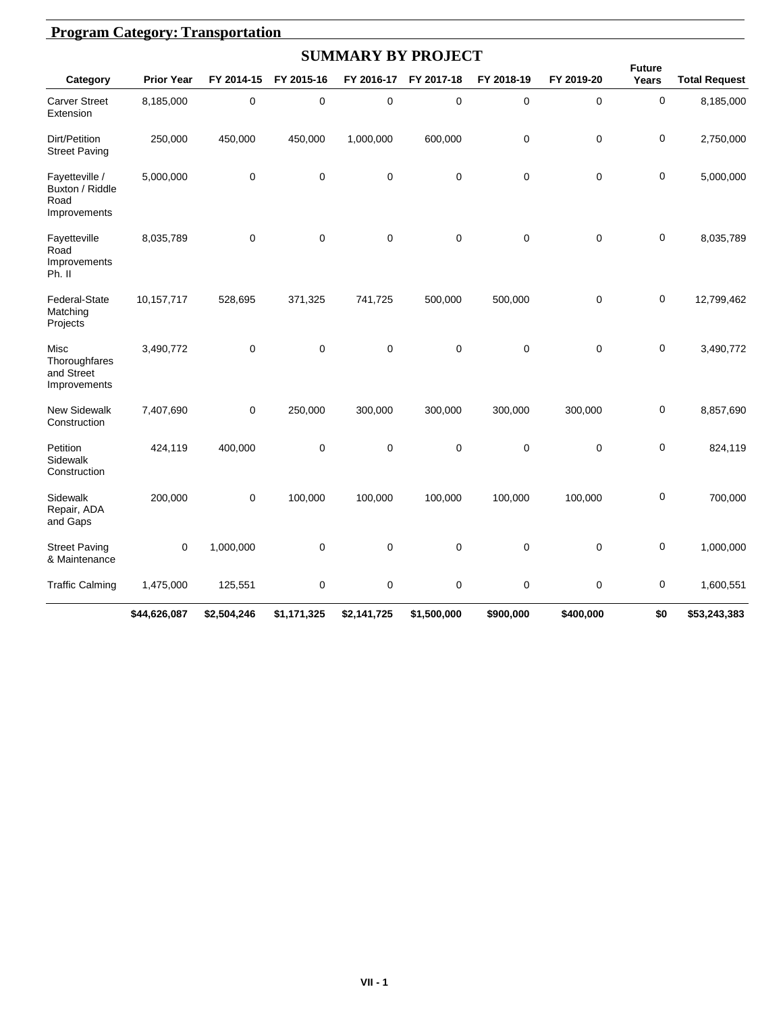|                                                           | <b>Program Category: Transportation</b> |             |             |                           |             |            |             |                        |                      |  |  |  |  |  |
|-----------------------------------------------------------|-----------------------------------------|-------------|-------------|---------------------------|-------------|------------|-------------|------------------------|----------------------|--|--|--|--|--|
|                                                           |                                         |             |             | <b>SUMMARY BY PROJECT</b> |             |            |             |                        |                      |  |  |  |  |  |
| Category                                                  | <b>Prior Year</b>                       | FY 2014-15  | FY 2015-16  | FY 2016-17                | FY 2017-18  | FY 2018-19 | FY 2019-20  | <b>Future</b><br>Years | <b>Total Request</b> |  |  |  |  |  |
| <b>Carver Street</b><br>Extension                         | 8,185,000                               | 0           | 0           | 0                         | 0           | 0          | $\mathbf 0$ | $\mathbf 0$            | 8,185,000            |  |  |  |  |  |
| Dirt/Petition<br><b>Street Paving</b>                     | 250,000                                 | 450,000     | 450,000     | 1,000,000                 | 600,000     | 0          | $\mathbf 0$ | $\mathbf 0$            | 2,750,000            |  |  |  |  |  |
| Fayetteville /<br>Buxton / Riddle<br>Road<br>Improvements | 5,000,000                               | $\mathbf 0$ | 0           | 0                         | $\mathbf 0$ | 0          | $\mathbf 0$ | $\mathbf 0$            | 5,000,000            |  |  |  |  |  |
| Fayetteville<br>Road<br>Improvements<br>Ph. II            | 8,035,789                               | 0           | 0           | 0                         | 0           | 0          | $\mathbf 0$ | $\mathbf 0$            | 8,035,789            |  |  |  |  |  |
| Federal-State<br>Matching<br>Projects                     | 10,157,717                              | 528,695     | 371,325     | 741,725                   | 500,000     | 500,000    | $\mathbf 0$ | $\mathbf 0$            | 12,799,462           |  |  |  |  |  |
| Misc<br>Thoroughfares<br>and Street<br>Improvements       | 3,490,772                               | $\mathbf 0$ | 0           | $\mathbf 0$               | $\pmb{0}$   | $\pmb{0}$  | $\mathbf 0$ | $\mathbf 0$            | 3,490,772            |  |  |  |  |  |
| <b>New Sidewalk</b><br>Construction                       | 7,407,690                               | 0           | 250,000     | 300,000                   | 300,000     | 300,000    | 300,000     | $\mathbf 0$            | 8,857,690            |  |  |  |  |  |
| Petition<br>Sidewalk<br>Construction                      | 424,119                                 | 400,000     | 0           | 0                         | $\mathbf 0$ | 0          | $\mathbf 0$ | $\mathbf 0$            | 824,119              |  |  |  |  |  |
| Sidewalk<br>Repair, ADA<br>and Gaps                       | 200,000                                 | 0           | 100,000     | 100,000                   | 100,000     | 100,000    | 100,000     | $\mathbf 0$            | 700,000              |  |  |  |  |  |
| <b>Street Paving</b><br>& Maintenance                     | $\mathbf 0$                             | 1,000,000   | 0           | $\mathbf 0$               | 0           | 0          | $\mathbf 0$ | $\mathbf 0$            | 1,000,000            |  |  |  |  |  |
| <b>Traffic Calming</b>                                    | 1,475,000                               | 125,551     | 0           | $\boldsymbol{0}$          | 0           | 0          | $\mathbf 0$ | 0                      | 1,600,551            |  |  |  |  |  |
|                                                           | \$44,626,087                            | \$2,504,246 | \$1,171,325 | \$2,141,725               | \$1,500,000 | \$900,000  | \$400,000   | \$0                    | \$53,243,383         |  |  |  |  |  |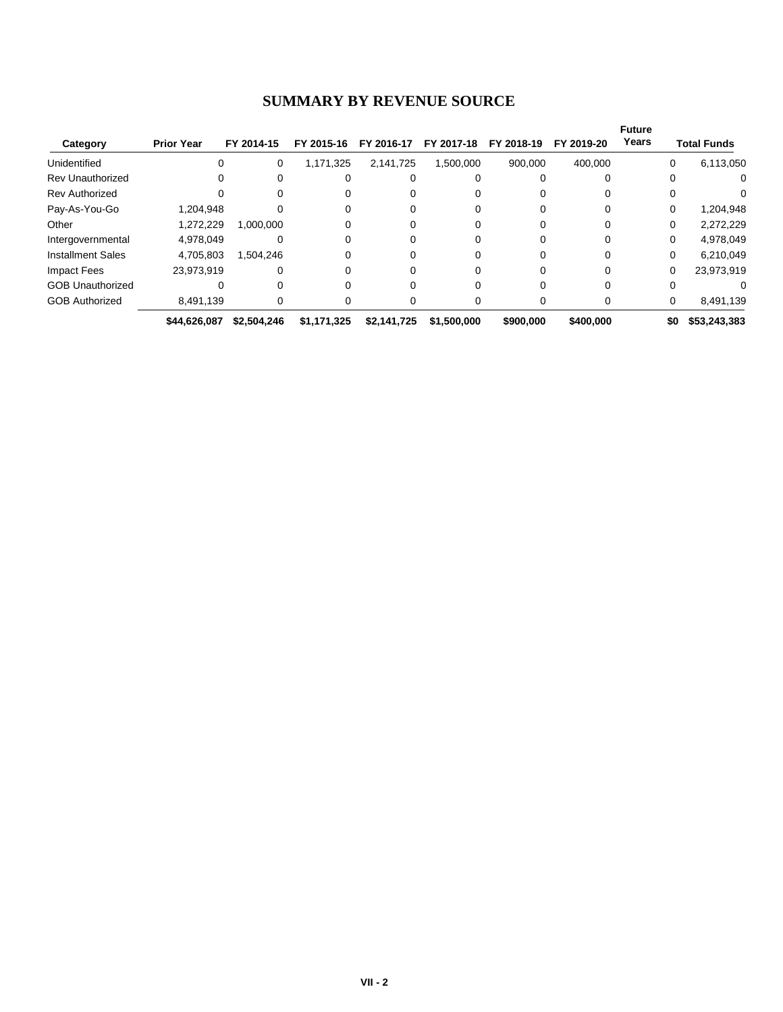#### **SUMMARY BY REVENUE SOURCE**

|                          |                   |             |             |             |             |            |            | <b>Future</b> |     |                    |
|--------------------------|-------------------|-------------|-------------|-------------|-------------|------------|------------|---------------|-----|--------------------|
| Category                 | <b>Prior Year</b> | FY 2014-15  | FY 2015-16  | FY 2016-17  | FY 2017-18  | FY 2018-19 | FY 2019-20 | Years         |     | <b>Total Funds</b> |
| Unidentified             | 0                 | 0           | 1,171,325   | 2,141,725   | 1,500,000   | 900.000    | 400.000    |               | 0   | 6,113,050          |
| <b>Rev Unauthorized</b>  |                   |             |             |             |             |            |            |               |     | 0                  |
| <b>Rev Authorized</b>    |                   |             |             |             |             |            |            |               |     | 0                  |
| Pay-As-You-Go            | 1,204,948         |             |             |             |             |            |            |               | 0   | 1,204,948          |
| Other                    | 1.272.229         | 1.000.000   |             |             |             |            |            |               | 0   | 2,272,229          |
| Intergovernmental        | 4.978.049         |             |             |             |             |            | $\Omega$   |               | 0   | 4,978,049          |
| <b>Installment Sales</b> | 4,705,803         | 1,504,246   |             | 0           |             |            | $\Omega$   |               | 0   | 6,210,049          |
| Impact Fees              | 23,973,919        |             |             | 0           |             |            | 0          |               | 0   | 23,973,919         |
| <b>GOB Unauthorized</b>  |                   |             |             |             |             |            |            |               |     |                    |
| <b>GOB Authorized</b>    | 8,491,139         |             |             |             |             |            | 0          |               | 0   | 8,491,139          |
|                          | \$44,626,087      | \$2,504,246 | \$1,171,325 | \$2,141,725 | \$1,500,000 | \$900,000  | \$400,000  |               | \$0 | \$53,243,383       |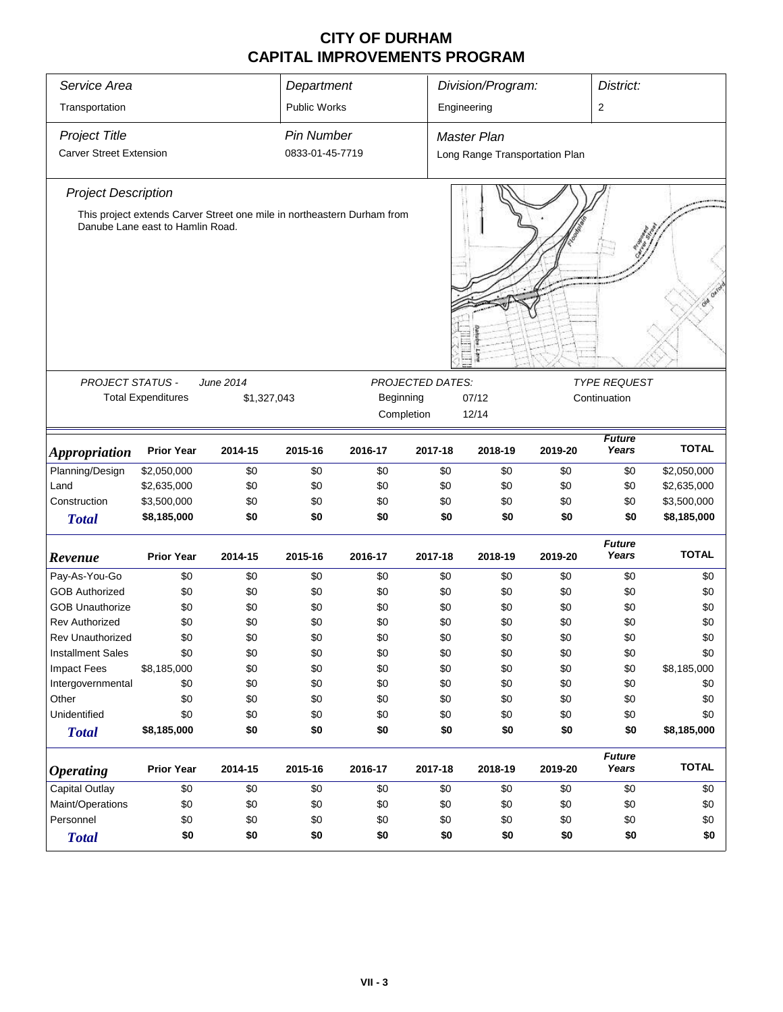| Service Area                                                                                                |                           |             | Department                           |            |                  | Division/Program:                                    |         | District:              |              |  |  |  |
|-------------------------------------------------------------------------------------------------------------|---------------------------|-------------|--------------------------------------|------------|------------------|------------------------------------------------------|---------|------------------------|--------------|--|--|--|
| Transportation                                                                                              |                           |             | <b>Public Works</b>                  |            |                  | Engineering                                          |         | 2                      |              |  |  |  |
| <b>Project Title</b><br><b>Carver Street Extension</b>                                                      |                           |             | <b>Pin Number</b><br>0833-01-45-7719 |            |                  | <b>Master Plan</b><br>Long Range Transportation Plan |         |                        |              |  |  |  |
|                                                                                                             |                           |             |                                      |            |                  |                                                      |         |                        |              |  |  |  |
| <b>Project Description</b>                                                                                  |                           |             |                                      |            |                  |                                                      |         |                        |              |  |  |  |
| This project extends Carver Street one mile in northeastern Durham from<br>Danube Lane east to Hamlin Road. |                           |             |                                      |            |                  |                                                      |         |                        |              |  |  |  |
|                                                                                                             |                           |             |                                      |            |                  |                                                      |         |                        |              |  |  |  |
| PROJECT STATUS -                                                                                            |                           | June 2014   |                                      |            | PROJECTED DATES: |                                                      |         | <b>TYPE REQUEST</b>    |              |  |  |  |
|                                                                                                             | <b>Total Expenditures</b> | \$1,327,043 |                                      | Beginning  |                  | 07/12                                                |         | Continuation           |              |  |  |  |
|                                                                                                             |                           |             |                                      | Completion |                  | 12/14                                                |         |                        |              |  |  |  |
|                                                                                                             |                           |             |                                      |            |                  |                                                      |         | <b>Future</b>          |              |  |  |  |
| <b>Appropriation</b>                                                                                        | <b>Prior Year</b>         | 2014-15     | 2015-16                              | 2016-17    | 2017-18          | 2018-19                                              | 2019-20 | Years                  | <b>TOTAL</b> |  |  |  |
| Planning/Design                                                                                             | \$2,050,000               | \$0         | \$0                                  | \$0        | \$0              | \$0                                                  | \$0     | \$0                    | \$2,050,000  |  |  |  |
| Land                                                                                                        | \$2,635,000               | \$0         | \$0                                  | \$0        | \$0              | \$0                                                  | \$0     | \$0                    | \$2,635,000  |  |  |  |
| Construction                                                                                                | \$3,500,000               | \$0         | \$0                                  | \$0        | \$0              | \$0                                                  | \$0     | \$0                    | \$3,500,000  |  |  |  |
| <b>Total</b>                                                                                                | \$8,185,000               | \$0         | \$0                                  | \$0        | \$0              | \$0                                                  | \$0     | \$0                    | \$8,185,000  |  |  |  |
| Revenue                                                                                                     | <b>Prior Year</b>         | 2014-15     | 2015-16                              | 2016-17    | 2017-18          | 2018-19                                              | 2019-20 | <b>Future</b><br>Years | <b>TOTAL</b> |  |  |  |
| Pay-As-You-Go                                                                                               | \$0                       | \$0         | \$0                                  | \$0        | \$0              | \$0                                                  | \$0     | \$0                    | \$0          |  |  |  |
| <b>GOB Authorized</b>                                                                                       | \$0                       | \$0         | \$0                                  | \$0        | \$0              | \$0                                                  | \$0     | \$0                    | \$0          |  |  |  |
| <b>GOB Unauthorize</b>                                                                                      | \$0                       | \$0         | \$0                                  | \$0        | \$0              | \$0                                                  | \$0     | \$0                    | \$0          |  |  |  |
| <b>Rev Authorized</b>                                                                                       | \$0                       | \$0         | \$0                                  | \$0        | \$0              | \$0                                                  | \$0     | \$0                    | \$0          |  |  |  |
| Rev Unauthorized                                                                                            | \$0                       | \$0         | \$0                                  | \$0        | \$0              | \$0                                                  | \$0     | \$0                    | \$0          |  |  |  |
| <b>Installment Sales</b>                                                                                    | \$0                       | \$0         | \$0                                  | \$0        | \$0              | \$0                                                  | \$0     | \$0                    | \$0          |  |  |  |
| <b>Impact Fees</b>                                                                                          | \$8,185,000               | \$0         | \$0                                  | \$0        | \$0              | \$0                                                  | \$0     | \$0                    | \$8,185,000  |  |  |  |
| Intergovernmental                                                                                           | \$0                       | \$0         | \$0                                  | \$0        | \$0              | \$0                                                  | \$0     | \$0                    | \$0          |  |  |  |
| Other                                                                                                       | \$0                       | \$0         | \$0                                  | \$0        | \$0              | \$0                                                  | \$0     | \$0                    | \$0          |  |  |  |
| Unidentified                                                                                                | \$0                       | \$0         | \$0                                  | \$0        | \$0              | \$0                                                  | \$0     | \$0                    | \$0          |  |  |  |
| <b>Total</b>                                                                                                | \$8,185,000               | \$0         | \$0                                  | \$0        | \$0              | \$0                                                  | \$0     | \$0                    | \$8,185,000  |  |  |  |
| <b>Operating</b>                                                                                            | <b>Prior Year</b>         | 2014-15     | 2015-16                              | 2016-17    | 2017-18          | 2018-19                                              | 2019-20 | <b>Future</b><br>Years | <b>TOTAL</b> |  |  |  |
| <b>Capital Outlay</b>                                                                                       | \$0                       | \$0         | \$0                                  | \$0        | \$0              | \$0                                                  | \$0     | \$0                    | \$0          |  |  |  |
| Maint/Operations                                                                                            | \$0                       | \$0         | \$0                                  | \$0        | \$0              | \$0                                                  | \$0     | \$0                    | \$0          |  |  |  |
| Personnel                                                                                                   | \$0                       | \$0         | \$0                                  | \$0        | \$0              | \$0                                                  | \$0     | \$0                    | \$0          |  |  |  |
| <b>Total</b>                                                                                                | \$0                       | \$0         | \$0                                  | \$0        | \$0              | \$0                                                  | \$0     | \$0                    | \$0          |  |  |  |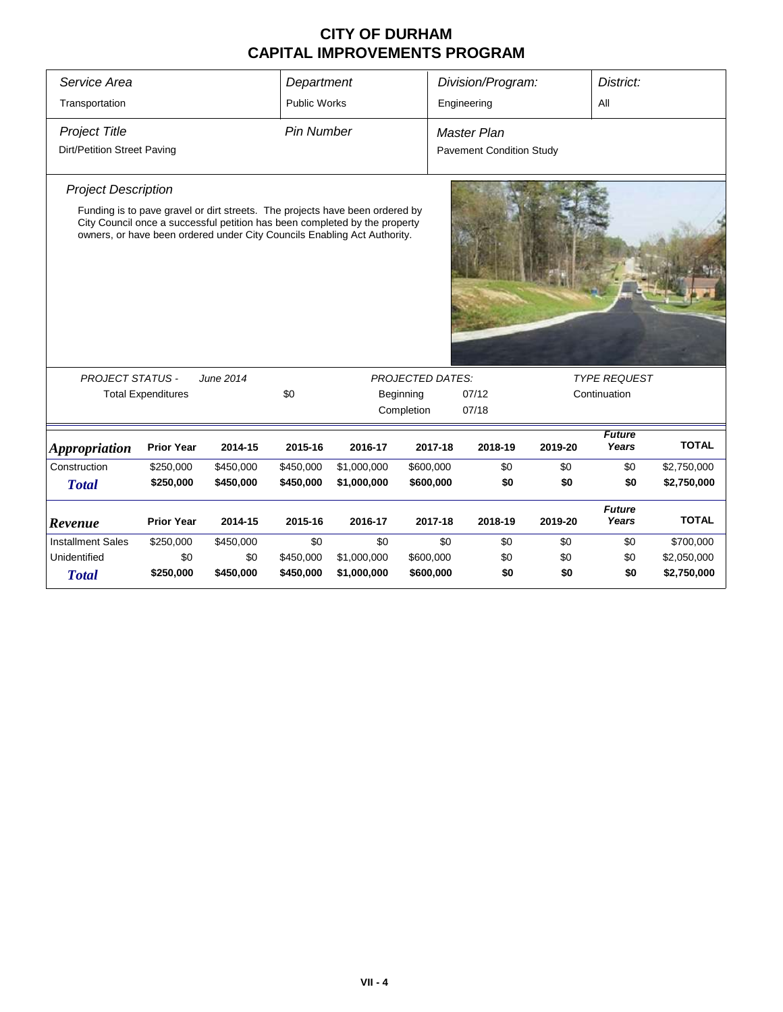| Service Area                                        |                           |                                                                                                                                                                                                                                        | Department          |             |                                                | Division/Program: |         | District:              |              |  |  |
|-----------------------------------------------------|---------------------------|----------------------------------------------------------------------------------------------------------------------------------------------------------------------------------------------------------------------------------------|---------------------|-------------|------------------------------------------------|-------------------|---------|------------------------|--------------|--|--|
| Transportation                                      |                           |                                                                                                                                                                                                                                        | <b>Public Works</b> |             |                                                | Engineering       |         | All                    |              |  |  |
| <b>Project Title</b><br>Dirt/Petition Street Paving |                           |                                                                                                                                                                                                                                        | <b>Pin Number</b>   |             | Master Plan<br><b>Pavement Condition Study</b> |                   |         |                        |              |  |  |
| <b>Project Description</b>                          |                           | Funding is to pave gravel or dirt streets. The projects have been ordered by<br>City Council once a successful petition has been completed by the property<br>owners, or have been ordered under City Councils Enabling Act Authority. |                     |             |                                                |                   |         |                        |              |  |  |
| <b>PROJECT STATUS -</b>                             |                           | June 2014                                                                                                                                                                                                                              |                     |             | <b>PROJECTED DATES:</b>                        |                   |         | <b>TYPE REQUEST</b>    |              |  |  |
|                                                     | <b>Total Expenditures</b> |                                                                                                                                                                                                                                        | \$0                 |             | Beginning                                      | 07/12             |         | Continuation           |              |  |  |
|                                                     |                           |                                                                                                                                                                                                                                        |                     |             | Completion                                     | 07/18             |         |                        |              |  |  |
| <i><b>Appropriation</b></i>                         | <b>Prior Year</b>         | 2014-15                                                                                                                                                                                                                                | 2015-16             | 2016-17     | 2017-18                                        | 2018-19           | 2019-20 | <b>Future</b><br>Years | <b>TOTAL</b> |  |  |
| Construction                                        | \$250,000                 | \$450,000                                                                                                                                                                                                                              | \$450,000           | \$1,000,000 | \$600,000                                      | \$0               | \$0     | \$0                    | \$2,750,000  |  |  |
| <b>Total</b>                                        | \$250,000                 | \$450,000                                                                                                                                                                                                                              | \$450,000           | \$1,000,000 | \$600,000                                      | \$0               | \$0     | \$0                    | \$2,750,000  |  |  |
| Revenue                                             | <b>Prior Year</b>         | 2014-15                                                                                                                                                                                                                                | 2015-16             | 2016-17     | 2017-18                                        | 2018-19           | 2019-20 | <b>Future</b><br>Years | <b>TOTAL</b> |  |  |
| <b>Installment Sales</b>                            | \$250,000                 | \$450,000                                                                                                                                                                                                                              | \$0                 | \$0         | \$0                                            | \$0               | \$0     | \$0                    | \$700,000    |  |  |
| Unidentified                                        | \$0                       | \$0                                                                                                                                                                                                                                    | \$450,000           | \$1,000,000 | \$600,000                                      | \$0               | \$0     | \$0                    | \$2,050,000  |  |  |
| <b>Total</b>                                        | \$250,000                 | \$450,000                                                                                                                                                                                                                              | \$450,000           | \$1,000,000 | \$600,000                                      | \$0               | \$0     | \$0                    | \$2,750,000  |  |  |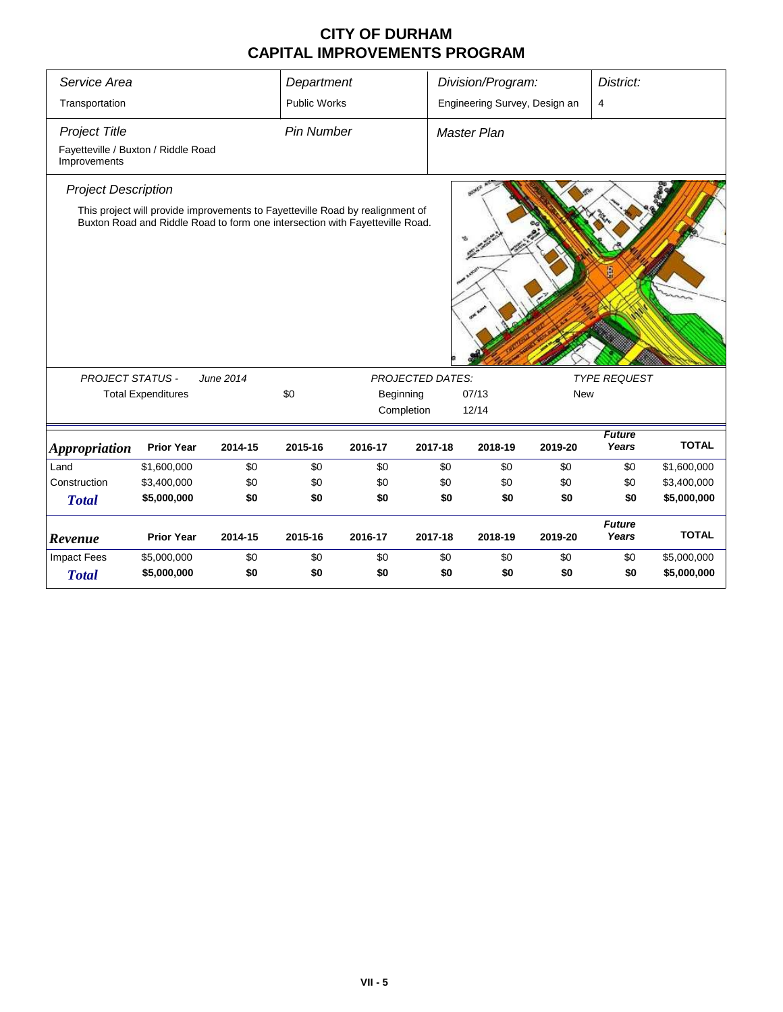| Service Area                                                                |                           |                                                                                                                                                               | Department          |         |                         | Division/Program:             |            | District:              |              |
|-----------------------------------------------------------------------------|---------------------------|---------------------------------------------------------------------------------------------------------------------------------------------------------------|---------------------|---------|-------------------------|-------------------------------|------------|------------------------|--------------|
| Transportation                                                              |                           |                                                                                                                                                               | <b>Public Works</b> |         |                         | Engineering Survey, Design an |            | $\overline{4}$         |              |
| <b>Project Title</b><br>Fayetteville / Buxton / Riddle Road<br>Improvements |                           |                                                                                                                                                               | <b>Pin Number</b>   |         |                         | <b>Master Plan</b>            |            |                        |              |
| <b>Project Description</b>                                                  |                           | This project will provide improvements to Fayetteville Road by realignment of<br>Buxton Road and Riddle Road to form one intersection with Fayetteville Road. |                     |         |                         |                               |            |                        |              |
| <b>PROJECT STATUS -</b>                                                     |                           | June 2014                                                                                                                                                     |                     |         | <b>PROJECTED DATES:</b> |                               |            | <b>TYPE REQUEST</b>    |              |
|                                                                             | <b>Total Expenditures</b> |                                                                                                                                                               | \$0                 |         | Beginning               | 07/13                         | <b>New</b> |                        |              |
|                                                                             |                           |                                                                                                                                                               |                     |         | Completion              | 12/14                         |            |                        |              |
| <b>Appropriation</b>                                                        | <b>Prior Year</b>         | 2014-15                                                                                                                                                       | 2015-16             | 2016-17 | 2017-18                 | 2018-19                       | 2019-20    | <b>Future</b><br>Years | <b>TOTAL</b> |
| Land                                                                        | \$1,600,000               | \$0                                                                                                                                                           | \$0                 | \$0     | \$0                     | \$0                           | \$0        | \$0                    | \$1,600,000  |
| Construction                                                                | \$3,400,000               | \$0                                                                                                                                                           | \$0                 | \$0     | \$0                     | \$0                           | \$0        | \$0                    | \$3,400,000  |
| <b>Total</b>                                                                | \$5,000,000               | \$0                                                                                                                                                           | \$0                 | \$0     | \$0                     | \$0                           | \$0        | \$0                    | \$5,000,000  |
| Revenue                                                                     | <b>Prior Year</b>         | 2014-15                                                                                                                                                       | 2015-16             | 2016-17 | 2017-18                 | 2018-19                       | 2019-20    | <b>Future</b><br>Years | <b>TOTAL</b> |
| <b>Impact Fees</b>                                                          | \$5,000,000               | \$0                                                                                                                                                           | \$0                 | \$0     | \$0                     | \$0                           | \$0        | \$0                    | \$5,000,000  |
| <b>Total</b>                                                                | \$5,000,000               | \$0                                                                                                                                                           | \$0                 | \$0     | \$0                     | \$0                           | \$0        | \$0                    | \$5,000,000  |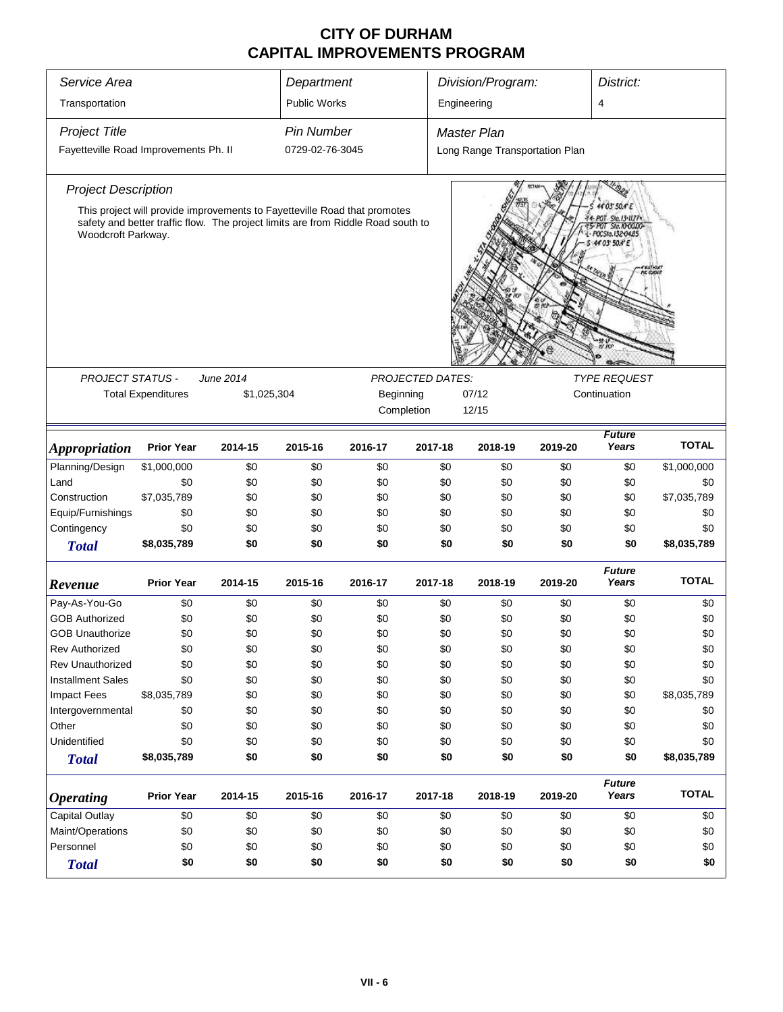| Service Area<br>Transportation                                                                                                                                                                                                                                                                  |                           |             | Department<br>Public Works |           |            | Division/Program:<br>Engineering                     |         | District:<br>4         |              |  |  |  |
|-------------------------------------------------------------------------------------------------------------------------------------------------------------------------------------------------------------------------------------------------------------------------------------------------|---------------------------|-------------|----------------------------|-----------|------------|------------------------------------------------------|---------|------------------------|--------------|--|--|--|
|                                                                                                                                                                                                                                                                                                 |                           |             |                            |           |            |                                                      |         |                        |              |  |  |  |
| <b>Project Title</b>                                                                                                                                                                                                                                                                            |                           |             | <b>Pin Number</b>          |           |            | <b>Master Plan</b><br>Long Range Transportation Plan |         |                        |              |  |  |  |
| Fayetteville Road Improvements Ph. II                                                                                                                                                                                                                                                           |                           |             | 0729-02-76-3045            |           |            |                                                      |         |                        |              |  |  |  |
| <b>Project Description</b>                                                                                                                                                                                                                                                                      |                           |             |                            |           |            |                                                      |         |                        |              |  |  |  |
| This project will provide improvements to Fayetteville Road that promotes<br>safety and better traffic flow. The project limits are from Riddle Road south to<br>Woodcroft Parkway.<br>44 03' 50.4' E<br><b>PROJECT STATUS -</b><br><b>PROJECTED DATES:</b><br><b>TYPE REQUEST</b><br>June 2014 |                           |             |                            |           |            |                                                      |         |                        |              |  |  |  |
|                                                                                                                                                                                                                                                                                                 |                           |             |                            |           |            |                                                      |         |                        |              |  |  |  |
|                                                                                                                                                                                                                                                                                                 | <b>Total Expenditures</b> | \$1,025,304 |                            | Beginning |            | 07/12                                                |         | Continuation           |              |  |  |  |
|                                                                                                                                                                                                                                                                                                 |                           |             |                            |           | Completion | 12/15                                                |         |                        |              |  |  |  |
|                                                                                                                                                                                                                                                                                                 |                           |             |                            |           |            |                                                      |         |                        |              |  |  |  |
| <b>Appropriation</b>                                                                                                                                                                                                                                                                            | <b>Prior Year</b>         | 2014-15     | 2015-16                    | 2016-17   | 2017-18    | 2018-19                                              | 2019-20 | <b>Future</b><br>Years | <b>TOTAL</b> |  |  |  |
| Planning/Design                                                                                                                                                                                                                                                                                 | \$1,000,000               | \$0         | \$0                        | \$0       | \$0        | \$0                                                  | \$0     | \$0                    | \$1,000,000  |  |  |  |
| Land                                                                                                                                                                                                                                                                                            | \$0                       | \$0         | \$0                        | \$0       | \$0        | \$0                                                  | \$0     | \$0                    | \$0          |  |  |  |
| Construction                                                                                                                                                                                                                                                                                    | \$7,035,789               | \$0         | \$0                        | \$0       | \$0        | \$0                                                  | \$0     | \$0                    | \$7,035,789  |  |  |  |
| Equip/Furnishings                                                                                                                                                                                                                                                                               | \$0                       | \$0         | \$0                        | \$0       | \$0        | \$0                                                  | \$0     | \$0                    | \$0          |  |  |  |
| Contingency                                                                                                                                                                                                                                                                                     | \$0                       | \$0         | \$0                        | \$0       | \$0        | \$0                                                  | \$0     | \$0                    | \$0          |  |  |  |
| <b>Total</b>                                                                                                                                                                                                                                                                                    | \$8,035,789               | \$0         | \$0                        | \$0       | \$0        | \$0                                                  | \$0     | \$0                    | \$8,035,789  |  |  |  |
| Revenue                                                                                                                                                                                                                                                                                         | <b>Prior Year</b>         | 2014-15     | 2015-16                    | 2016-17   | 2017-18    | 2018-19                                              | 2019-20 | <b>Future</b><br>Years | <b>TOTAL</b> |  |  |  |
| Pay-As-You-Go                                                                                                                                                                                                                                                                                   | \$0                       | \$0         | \$0                        | \$0       | \$0        | \$0                                                  | \$0     | \$0                    | \$0          |  |  |  |
| <b>GOB Authorized</b>                                                                                                                                                                                                                                                                           | \$0                       | \$0         | \$0                        | \$0       | \$0        | \$0                                                  | \$0     | \$0                    | \$0          |  |  |  |
| <b>GOB Unauthorize</b>                                                                                                                                                                                                                                                                          | \$0                       | \$0         | \$0                        | \$0       | \$0        | \$0                                                  | \$0     | \$0                    | \$0          |  |  |  |
| <b>Rev Authorized</b>                                                                                                                                                                                                                                                                           | \$0                       | \$0         | \$0                        | \$0       | \$0        | \$0                                                  | \$0     | \$0                    | \$0          |  |  |  |
| Rev Unauthorized                                                                                                                                                                                                                                                                                | \$0                       | \$0         | \$0                        | \$0       | \$0        | \$0                                                  | \$0     | \$0                    | \$0          |  |  |  |
| <b>Installment Sales</b>                                                                                                                                                                                                                                                                        | \$0                       | \$0         | \$0                        | \$0       | \$0        | \$0                                                  | \$0     | \$0                    | \$0          |  |  |  |
| <b>Impact Fees</b>                                                                                                                                                                                                                                                                              | \$8,035,789               | \$0         | \$0                        | \$0       | \$0        | \$0                                                  | \$0     | \$0                    | \$8,035,789  |  |  |  |
| Intergovernmental                                                                                                                                                                                                                                                                               | \$0                       | \$0         | \$0                        | \$0       | \$0        | \$0                                                  | \$0     | \$0                    | \$0          |  |  |  |
| Other                                                                                                                                                                                                                                                                                           | \$0                       | \$0         | \$0                        | \$0       | \$0        | \$0                                                  | \$0     | \$0                    | \$0          |  |  |  |
| Unidentified                                                                                                                                                                                                                                                                                    | \$0                       | \$0         | \$0                        | \$0       | \$0        | \$0                                                  | \$0     | \$0                    | \$0          |  |  |  |
| <b>Total</b>                                                                                                                                                                                                                                                                                    | \$8,035,789               | \$0         | \$0                        | \$0       | \$0        | \$0                                                  | \$0     | \$0                    | \$8,035,789  |  |  |  |
| <b>Operating</b>                                                                                                                                                                                                                                                                                | <b>Prior Year</b>         | 2014-15     | 2015-16                    | 2016-17   | 2017-18    | 2018-19                                              | 2019-20 | <b>Future</b><br>Years | <b>TOTAL</b> |  |  |  |
| <b>Capital Outlay</b>                                                                                                                                                                                                                                                                           | \$0                       | \$0         | \$0                        | \$0       | \$0        | \$0                                                  | \$0     | \$0                    | \$0          |  |  |  |
| Maint/Operations                                                                                                                                                                                                                                                                                | \$0                       | \$0         | \$0                        | \$0       | \$0        | \$0                                                  | \$0     | \$0                    | \$0          |  |  |  |
| Personnel                                                                                                                                                                                                                                                                                       | \$0                       | \$0         | \$0                        | \$0       | \$0        | \$0                                                  | \$0     | \$0                    | \$0          |  |  |  |
| <b>Total</b>                                                                                                                                                                                                                                                                                    | \$0                       | \$0         | \$0                        | \$0       | \$0        | \$0                                                  | \$0     | \$0                    | \$0          |  |  |  |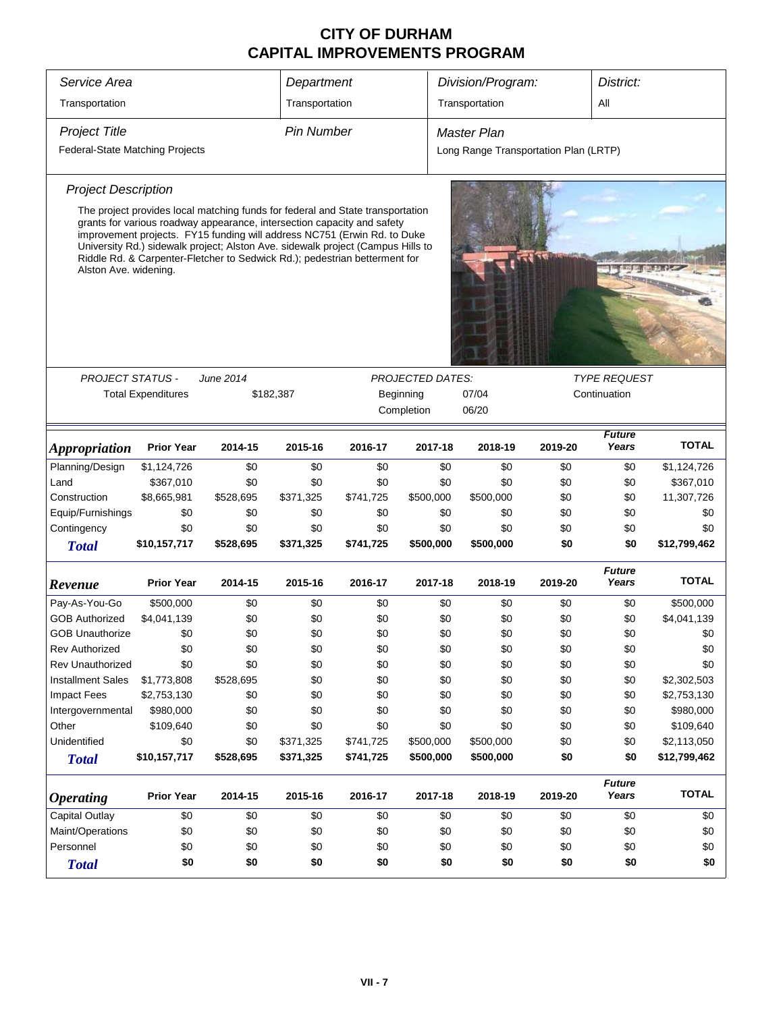| Service Area                           |                                                                                                                                                                                                                                                                                                                      |           | Department        |           |                         | Division/Program:                     | District: |                        |              |  |
|----------------------------------------|----------------------------------------------------------------------------------------------------------------------------------------------------------------------------------------------------------------------------------------------------------------------------------------------------------------------|-----------|-------------------|-----------|-------------------------|---------------------------------------|-----------|------------------------|--------------|--|
| Transportation                         |                                                                                                                                                                                                                                                                                                                      |           | Transportation    |           |                         | Transportation                        |           | All                    |              |  |
|                                        |                                                                                                                                                                                                                                                                                                                      |           |                   |           |                         |                                       |           |                        |              |  |
| <b>Project Title</b>                   |                                                                                                                                                                                                                                                                                                                      |           | <b>Pin Number</b> |           |                         | Master Plan                           |           |                        |              |  |
| <b>Federal-State Matching Projects</b> |                                                                                                                                                                                                                                                                                                                      |           |                   |           |                         | Long Range Transportation Plan (LRTP) |           |                        |              |  |
| <b>Project Description</b>             |                                                                                                                                                                                                                                                                                                                      |           |                   |           |                         |                                       |           |                        |              |  |
|                                        | The project provides local matching funds for federal and State transportation                                                                                                                                                                                                                                       |           |                   |           |                         |                                       |           |                        |              |  |
|                                        | grants for various roadway appearance, intersection capacity and safety<br>improvement projects. FY15 funding will address NC751 (Erwin Rd. to Duke<br>University Rd.) sidewalk project; Alston Ave. sidewalk project (Campus Hills to<br>Riddle Rd. & Carpenter-Fletcher to Sedwick Rd.); pedestrian betterment for |           |                   |           |                         |                                       |           |                        |              |  |
| Alston Ave. widening.                  |                                                                                                                                                                                                                                                                                                                      |           |                   |           |                         |                                       |           |                        |              |  |
|                                        |                                                                                                                                                                                                                                                                                                                      |           |                   |           |                         |                                       |           |                        |              |  |
|                                        |                                                                                                                                                                                                                                                                                                                      |           |                   |           |                         |                                       |           |                        |              |  |
|                                        |                                                                                                                                                                                                                                                                                                                      |           |                   |           |                         |                                       |           |                        |              |  |
|                                        |                                                                                                                                                                                                                                                                                                                      |           |                   |           |                         |                                       |           |                        |              |  |
|                                        |                                                                                                                                                                                                                                                                                                                      |           |                   |           |                         |                                       |           |                        |              |  |
| <b>PROJECT STATUS -</b>                |                                                                                                                                                                                                                                                                                                                      | June 2014 |                   |           | <b>PROJECTED DATES:</b> |                                       |           | <b>TYPE REQUEST</b>    |              |  |
|                                        | <b>Total Expenditures</b>                                                                                                                                                                                                                                                                                            |           | \$182,387         |           | Beginning               | 07/04                                 |           | Continuation           |              |  |
|                                        |                                                                                                                                                                                                                                                                                                                      |           |                   |           | Completion              | 06/20                                 |           |                        |              |  |
| <i><b>Appropriation</b></i>            | <b>Prior Year</b>                                                                                                                                                                                                                                                                                                    | 2014-15   | 2015-16           | 2016-17   | 2017-18                 | 2018-19                               | 2019-20   | <b>Future</b><br>Years | <b>TOTAL</b> |  |
| Planning/Design                        | \$1,124,726                                                                                                                                                                                                                                                                                                          | \$0       | \$0               | \$0       | \$0                     | \$0                                   | \$0       | \$0                    | \$1,124,726  |  |
| Land                                   | \$367,010                                                                                                                                                                                                                                                                                                            | \$0       | \$0               | \$0       | \$0                     | \$0                                   | \$0       | \$0                    | \$367,010    |  |
| Construction                           | \$8,665,981                                                                                                                                                                                                                                                                                                          | \$528,695 | \$371,325         | \$741,725 | \$500,000               | \$500,000                             | \$0       | \$0                    | 11,307,726   |  |
| Equip/Furnishings                      | \$0                                                                                                                                                                                                                                                                                                                  | \$0       | \$0               | \$0       | \$0                     | \$0                                   | \$0       | \$0                    | \$0          |  |
| Contingency                            | \$0                                                                                                                                                                                                                                                                                                                  | \$0       | \$0               | \$0       | \$0                     | \$0                                   | \$0       | \$0                    | \$0          |  |
| <b>Total</b>                           | \$10,157,717                                                                                                                                                                                                                                                                                                         | \$528,695 | \$371,325         | \$741,725 | \$500,000               | \$500,000                             | \$0       | \$0                    | \$12,799,462 |  |
| Revenue                                | <b>Prior Year</b>                                                                                                                                                                                                                                                                                                    | 2014-15   | 2015-16           | 2016-17   | 2017-18                 | 2018-19                               | 2019-20   | <b>Future</b><br>Years | <b>TOTAL</b> |  |
| Pay-As-You-Go                          | \$500,000                                                                                                                                                                                                                                                                                                            | \$0       | \$0               | \$0       | \$0                     | \$0                                   | \$0       | \$0                    | \$500,000    |  |
| <b>GOB Authorized</b>                  | \$4,041,139                                                                                                                                                                                                                                                                                                          | \$0       | \$0               | \$0       | \$0                     | \$0                                   | \$0       | \$0                    | \$4,041,139  |  |
| <b>GOB Unauthorize</b>                 | \$0                                                                                                                                                                                                                                                                                                                  | \$0       | \$0               | \$0       | \$0                     | \$0                                   | \$0       | \$0                    | \$0          |  |
| Rev Authorized                         | \$0                                                                                                                                                                                                                                                                                                                  | \$0       | \$0               | \$0       | \$0                     | \$0                                   | \$0       | \$0                    | \$0          |  |
| Rev Unauthorized                       | \$0                                                                                                                                                                                                                                                                                                                  | \$0       | \$0               | \$0       | \$0                     | \$0                                   | \$0       | \$0                    | \$0          |  |
| <b>Installment Sales</b>               | \$1,773,808                                                                                                                                                                                                                                                                                                          | \$528,695 | \$0               | \$0       | \$0                     | \$0                                   | \$0       | \$0                    | \$2,302,503  |  |
| <b>Impact Fees</b>                     | \$2,753,130                                                                                                                                                                                                                                                                                                          | \$0       | \$0               | \$0       | \$0                     | \$0                                   | \$0       | \$0                    | \$2,753,130  |  |
| Intergovernmental                      | \$980,000                                                                                                                                                                                                                                                                                                            | \$0       | \$0               | \$0       | \$0                     | \$0                                   | \$0       | \$0                    | \$980,000    |  |
| Other                                  | \$109,640                                                                                                                                                                                                                                                                                                            | \$0       | \$0               | \$0       | \$0                     | \$0                                   | \$0       | \$0                    | \$109,640    |  |
| Unidentified                           | \$0                                                                                                                                                                                                                                                                                                                  | \$0       | \$371,325         | \$741,725 | \$500,000               | \$500,000                             | \$0       | \$0                    | \$2,113,050  |  |
| <b>Total</b>                           | \$10,157,717                                                                                                                                                                                                                                                                                                         | \$528,695 | \$371,325         | \$741,725 | \$500,000               | \$500,000                             | \$0       | \$0                    | \$12,799,462 |  |
| <b>Operating</b>                       | <b>Prior Year</b>                                                                                                                                                                                                                                                                                                    | 2014-15   | 2015-16           | 2016-17   | 2017-18                 | 2018-19                               | 2019-20   | <b>Future</b><br>Years | <b>TOTAL</b> |  |
| <b>Capital Outlay</b>                  | \$0                                                                                                                                                                                                                                                                                                                  | \$0       | \$0               | \$0       | \$0                     | \$0                                   | \$0       | \$0                    | \$0          |  |
| Maint/Operations                       | \$0                                                                                                                                                                                                                                                                                                                  | \$0       | \$0               | \$0       | \$0                     | \$0                                   | \$0       | \$0                    | \$0          |  |
| Personnel                              | \$0                                                                                                                                                                                                                                                                                                                  | \$0       | \$0               | \$0       | \$0                     | \$0                                   | \$0       | \$0                    | \$0          |  |
| <b>Total</b>                           | \$0                                                                                                                                                                                                                                                                                                                  | \$0       | \$0               | \$0       | \$0                     | \$0                                   | \$0       | \$0                    | \$0          |  |
|                                        |                                                                                                                                                                                                                                                                                                                      |           |                   |           |                         |                                       |           |                        |              |  |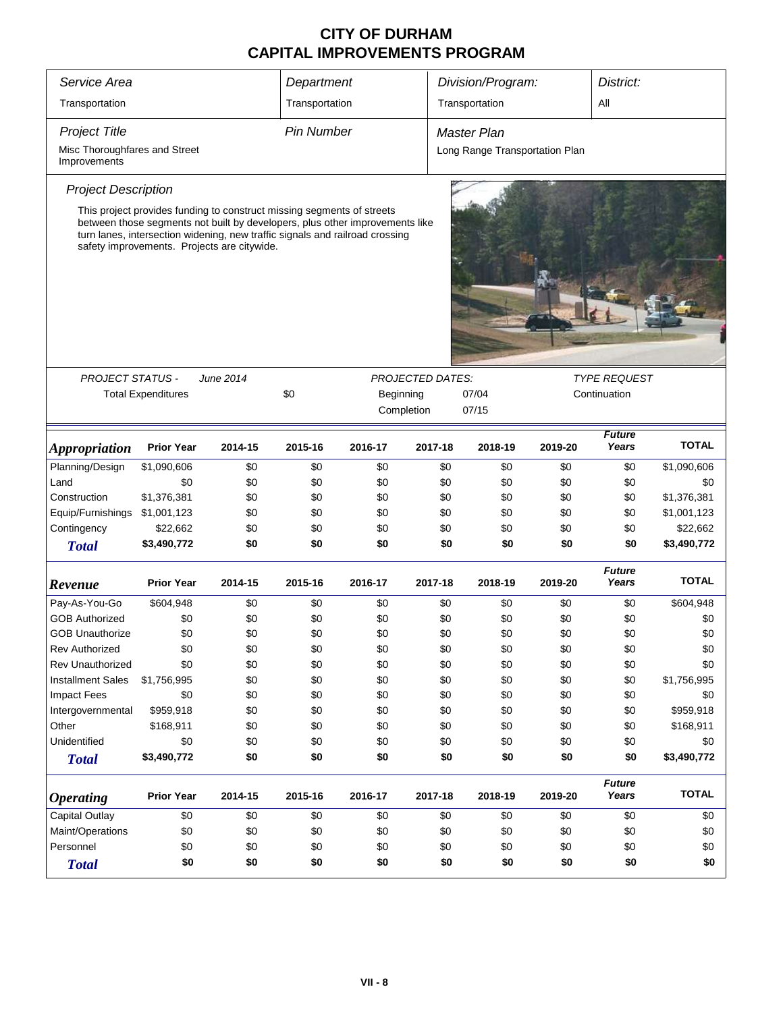| Service Area                                                                                                                                                                                                                                                                                                                                                                    |                           |         | Department        |            |         | Division/Program:              |         | District:              |              |  |  |  |
|---------------------------------------------------------------------------------------------------------------------------------------------------------------------------------------------------------------------------------------------------------------------------------------------------------------------------------------------------------------------------------|---------------------------|---------|-------------------|------------|---------|--------------------------------|---------|------------------------|--------------|--|--|--|
| Transportation                                                                                                                                                                                                                                                                                                                                                                  |                           |         | Transportation    |            |         | Transportation                 |         | All                    |              |  |  |  |
| <b>Project Title</b>                                                                                                                                                                                                                                                                                                                                                            |                           |         | <b>Pin Number</b> |            |         | Master Plan                    |         |                        |              |  |  |  |
| Misc Thoroughfares and Street<br>Improvements                                                                                                                                                                                                                                                                                                                                   |                           |         |                   |            |         | Long Range Transportation Plan |         |                        |              |  |  |  |
| <b>Project Description</b>                                                                                                                                                                                                                                                                                                                                                      |                           |         |                   |            |         |                                |         |                        |              |  |  |  |
| This project provides funding to construct missing segments of streets<br>between those segments not built by developers, plus other improvements like<br>turn lanes, intersection widening, new traffic signals and railroad crossing<br>safety improvements. Projects are citywide.<br><b>PROJECT STATUS -</b><br>June 2014<br><b>PROJECTED DATES:</b><br><i>TYPE REQUEST</i> |                           |         |                   |            |         |                                |         |                        |              |  |  |  |
|                                                                                                                                                                                                                                                                                                                                                                                 |                           |         |                   |            |         |                                |         |                        |              |  |  |  |
|                                                                                                                                                                                                                                                                                                                                                                                 |                           |         |                   |            |         |                                |         |                        |              |  |  |  |
|                                                                                                                                                                                                                                                                                                                                                                                 | <b>Total Expenditures</b> |         | \$0               | Beginning  |         | 07/04                          |         | Continuation           |              |  |  |  |
|                                                                                                                                                                                                                                                                                                                                                                                 |                           |         |                   | Completion |         | 07/15                          |         |                        |              |  |  |  |
| Appropriation                                                                                                                                                                                                                                                                                                                                                                   | <b>Prior Year</b>         | 2014-15 | 2015-16           | 2016-17    | 2017-18 | 2018-19                        | 2019-20 | <b>Future</b><br>Years | <b>TOTAL</b> |  |  |  |
| Planning/Design                                                                                                                                                                                                                                                                                                                                                                 | \$1,090,606               | \$0     | \$0               | \$0        | \$0     | \$0                            | \$0     | \$0                    | \$1,090,606  |  |  |  |
| Land                                                                                                                                                                                                                                                                                                                                                                            | \$0                       | \$0     | \$0               | \$0        | \$0     | \$0                            | \$0     | \$0                    | \$0          |  |  |  |
| Construction                                                                                                                                                                                                                                                                                                                                                                    | \$1,376,381               | \$0     | \$0               | \$0        | \$0     | \$0                            | \$0     | \$0                    | \$1,376,381  |  |  |  |
| Equip/Furnishings                                                                                                                                                                                                                                                                                                                                                               | \$1,001,123               | \$0     | \$0               | \$0        | \$0     | \$0                            | \$0     | \$0                    | \$1,001,123  |  |  |  |
| Contingency                                                                                                                                                                                                                                                                                                                                                                     | \$22,662                  | \$0     | \$0               | \$0        | \$0     | \$0                            | \$0     | \$0                    | \$22,662     |  |  |  |
| <b>Total</b>                                                                                                                                                                                                                                                                                                                                                                    | \$3,490,772               | \$0     | \$0               | \$0        | \$0     | \$0                            | \$0     | \$0                    | \$3,490,772  |  |  |  |
|                                                                                                                                                                                                                                                                                                                                                                                 | <b>Prior Year</b>         |         | 2015-16           |            | 2017-18 |                                | 2019-20 | <b>Future</b><br>Years | <b>TOTAL</b> |  |  |  |
| Revenue                                                                                                                                                                                                                                                                                                                                                                         |                           | 2014-15 |                   | 2016-17    |         | 2018-19                        |         |                        |              |  |  |  |
| Pay-As-You-Go                                                                                                                                                                                                                                                                                                                                                                   | \$604,948                 | \$0     | \$0               | \$0        | \$0     | \$0                            | \$0     | \$0                    | \$604,948    |  |  |  |
| <b>GOB Authorized</b>                                                                                                                                                                                                                                                                                                                                                           | \$0                       | \$0     | \$0               | \$0        | \$0     | \$0                            | \$0     | \$0                    | \$0          |  |  |  |
| <b>GOB Unauthorize</b>                                                                                                                                                                                                                                                                                                                                                          | \$0                       | \$0     | \$0               | \$0        | \$0     | \$0                            | \$0     | \$0                    | \$0          |  |  |  |
| <b>Rev Authorized</b>                                                                                                                                                                                                                                                                                                                                                           | \$0                       | \$0     | \$0               | \$0        | \$0     | \$0                            | \$0     | \$0                    | \$0          |  |  |  |
| <b>Rev Unauthorized</b>                                                                                                                                                                                                                                                                                                                                                         | \$0                       | \$0     | \$0               | \$0        | \$0     | \$0                            | \$0     | \$0                    | \$0          |  |  |  |
| <b>Installment Sales</b>                                                                                                                                                                                                                                                                                                                                                        | \$1,756,995               | \$0     | \$0               | \$0        | \$0     | \$0                            | \$0     | \$0                    | \$1,756,995  |  |  |  |
| <b>Impact Fees</b>                                                                                                                                                                                                                                                                                                                                                              | \$0                       | \$0     | \$0               | \$0        | \$0     | \$0                            | \$0     | \$0                    | \$0          |  |  |  |
| Intergovernmental                                                                                                                                                                                                                                                                                                                                                               | \$959,918                 | \$0     | \$0               | \$0        | \$0     | \$0                            | \$0     | \$0                    | \$959,918    |  |  |  |
| Other                                                                                                                                                                                                                                                                                                                                                                           | \$168,911                 | \$0     | \$0               | \$0        | \$0     | \$0                            | \$0     | \$0                    | \$168,911    |  |  |  |
| Unidentified                                                                                                                                                                                                                                                                                                                                                                    | \$0                       | \$0     | \$0               | \$0        | \$0     | \$0                            | \$0     | \$0                    | \$0          |  |  |  |
| <b>Total</b>                                                                                                                                                                                                                                                                                                                                                                    | \$3,490,772               | \$0     | \$0               | \$0        | \$0     | \$0                            | \$0     | \$0                    | \$3,490,772  |  |  |  |
| <b>Operating</b>                                                                                                                                                                                                                                                                                                                                                                | <b>Prior Year</b>         | 2014-15 | 2015-16           | 2016-17    | 2017-18 | 2018-19                        | 2019-20 | <b>Future</b><br>Years | <b>TOTAL</b> |  |  |  |
| Capital Outlay                                                                                                                                                                                                                                                                                                                                                                  | \$0                       | \$0     | \$0               | \$0        | \$0     | \$0                            | \$0     | \$0                    | \$0          |  |  |  |
| Maint/Operations                                                                                                                                                                                                                                                                                                                                                                | \$0                       | \$0     | \$0               | \$0        | \$0     | \$0                            | \$0     | \$0                    | \$0          |  |  |  |
| Personnel                                                                                                                                                                                                                                                                                                                                                                       | \$0                       | \$0     | \$0               | \$0        | \$0     | \$0                            | \$0     | \$0                    | \$0          |  |  |  |
| <b>Total</b>                                                                                                                                                                                                                                                                                                                                                                    | \$0                       | \$0     | \$0               | \$0        | \$0     | \$0                            | \$0     | \$0                    | \$0          |  |  |  |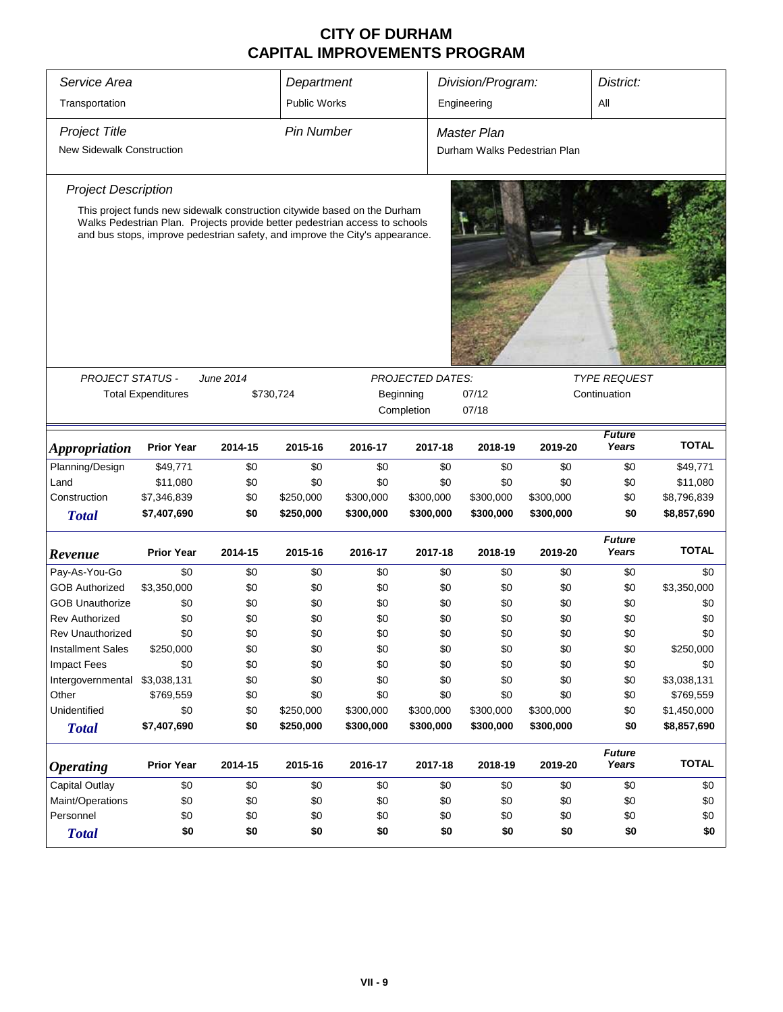| Service Area                     |                           |                                                                                                                                                                                                                                          | Department          |           |                         |     | Division/Program:            |           | District:              |              |
|----------------------------------|---------------------------|------------------------------------------------------------------------------------------------------------------------------------------------------------------------------------------------------------------------------------------|---------------------|-----------|-------------------------|-----|------------------------------|-----------|------------------------|--------------|
| Transportation                   |                           |                                                                                                                                                                                                                                          | <b>Public Works</b> |           |                         |     | Engineering                  |           | All                    |              |
| <b>Project Title</b>             |                           |                                                                                                                                                                                                                                          | <b>Pin Number</b>   |           |                         |     | Master Plan                  |           |                        |              |
| <b>New Sidewalk Construction</b> |                           |                                                                                                                                                                                                                                          |                     |           |                         |     | Durham Walks Pedestrian Plan |           |                        |              |
| <b>Project Description</b>       |                           |                                                                                                                                                                                                                                          |                     |           |                         |     |                              |           |                        |              |
|                                  |                           |                                                                                                                                                                                                                                          |                     |           |                         |     |                              |           |                        |              |
|                                  |                           | This project funds new sidewalk construction citywide based on the Durham<br>Walks Pedestrian Plan. Projects provide better pedestrian access to schools<br>and bus stops, improve pedestrian safety, and improve the City's appearance. |                     |           |                         |     |                              |           |                        |              |
|                                  |                           |                                                                                                                                                                                                                                          |                     |           |                         |     |                              |           |                        |              |
|                                  |                           |                                                                                                                                                                                                                                          |                     |           |                         |     |                              |           |                        |              |
|                                  |                           |                                                                                                                                                                                                                                          |                     |           |                         |     |                              |           |                        |              |
| <b>PROJECT STATUS -</b>          |                           | June 2014                                                                                                                                                                                                                                |                     |           | <b>PROJECTED DATES:</b> |     |                              |           | <b>TYPE REQUEST</b>    |              |
|                                  | <b>Total Expenditures</b> | \$730,724                                                                                                                                                                                                                                |                     |           | Beginning               |     | 07/12                        |           | Continuation           |              |
|                                  |                           |                                                                                                                                                                                                                                          |                     |           | Completion              |     | 07/18                        |           |                        |              |
|                                  |                           |                                                                                                                                                                                                                                          |                     |           |                         |     |                              |           | <b>Future</b>          |              |
| Appropriation                    | <b>Prior Year</b>         | 2014-15                                                                                                                                                                                                                                  | 2015-16             | 2016-17   | 2017-18                 |     | 2018-19                      | 2019-20   | Years                  | <b>TOTAL</b> |
| Planning/Design                  | \$49,771                  | \$0                                                                                                                                                                                                                                      | \$0                 | \$0       |                         | \$0 | \$0                          | \$0       | \$0                    | \$49,771     |
| Land                             | \$11,080                  | \$0                                                                                                                                                                                                                                      | \$0                 | \$0       |                         | \$0 | \$0                          | \$0       | \$0                    | \$11,080     |
| Construction                     | \$7,346,839               | \$0                                                                                                                                                                                                                                      | \$250,000           | \$300,000 | \$300,000               |     | \$300,000                    | \$300,000 | \$0                    | \$8,796,839  |
| <b>Total</b>                     | \$7,407,690               | \$0                                                                                                                                                                                                                                      | \$250,000           | \$300,000 | \$300,000               |     | \$300,000                    | \$300,000 | \$0                    | \$8,857,690  |
| Revenue                          | <b>Prior Year</b>         | 2014-15                                                                                                                                                                                                                                  | 2015-16             | 2016-17   | 2017-18                 |     | 2018-19                      | 2019-20   | <b>Future</b><br>Years | <b>TOTAL</b> |
| Pay-As-You-Go                    | \$0                       | \$0                                                                                                                                                                                                                                      | \$0                 | \$0       |                         | \$0 | \$0                          | \$0       | \$0                    | \$0          |
| <b>GOB Authorized</b>            | \$3,350,000               | \$0                                                                                                                                                                                                                                      | \$0                 | \$0       |                         | \$0 | \$0                          | \$0       | \$0                    | \$3,350,000  |
| <b>GOB Unauthorize</b>           | \$0                       | \$0                                                                                                                                                                                                                                      | \$0                 | \$0       |                         | \$0 | \$0                          | \$0       | \$0                    | \$0          |
| <b>Rev Authorized</b>            | \$0                       | \$0                                                                                                                                                                                                                                      | \$0                 | \$0       |                         | \$0 | \$0                          | \$0       | \$0                    | \$0          |
| <b>Rev Unauthorized</b>          | \$0                       | \$0                                                                                                                                                                                                                                      | \$0                 | \$0       |                         | \$0 | \$0                          | \$0       | \$0                    | \$0          |
| <b>Installment Sales</b>         | \$250,000                 | \$0                                                                                                                                                                                                                                      | \$0                 | \$0       |                         | \$0 | \$0                          | \$0       | \$0                    | \$250,000    |
| <b>Impact Fees</b>               | \$0                       | \$0                                                                                                                                                                                                                                      | \$0                 | \$0       |                         | \$0 | \$0                          | \$0       | \$0                    | \$0          |
| Intergovernmental                | \$3,038,131               | \$0                                                                                                                                                                                                                                      | \$0                 | \$0       |                         | \$0 | \$0                          | \$0       | \$0                    | \$3,038,131  |
| Other                            | \$769,559                 | \$0                                                                                                                                                                                                                                      | \$0                 | \$0       |                         | \$0 | \$0                          | \$0       | \$0                    | \$769,559    |
| Unidentified                     | \$0                       | \$0                                                                                                                                                                                                                                      | \$250,000           | \$300,000 | \$300,000               |     | \$300,000                    | \$300,000 | \$0                    | \$1,450,000  |
| <b>Total</b>                     | \$7,407,690               | \$0                                                                                                                                                                                                                                      | \$250,000           | \$300,000 | \$300,000               |     | \$300,000                    | \$300,000 | \$0                    | \$8,857,690  |
| <b>Operating</b>                 | <b>Prior Year</b>         | 2014-15                                                                                                                                                                                                                                  | 2015-16             | 2016-17   | 2017-18                 |     | 2018-19                      | 2019-20   | <b>Future</b><br>Years | <b>TOTAL</b> |
| Capital Outlay                   | \$0                       | \$0                                                                                                                                                                                                                                      | \$0                 | \$0       |                         | \$0 | \$0                          | \$0       | \$0                    | \$0          |
| Maint/Operations                 | \$0                       | \$0                                                                                                                                                                                                                                      | \$0                 | \$0       |                         | \$0 | \$0                          | \$0       | \$0                    | \$0          |
| Personnel                        | \$0                       | \$0                                                                                                                                                                                                                                      | \$0                 | \$0       |                         | \$0 | \$0                          | \$0       | \$0                    | \$0          |
| <b>Total</b>                     | \$0                       | \$0                                                                                                                                                                                                                                      | \$0                 | \$0       |                         | \$0 | \$0                          | \$0       | \$0                    | \$0          |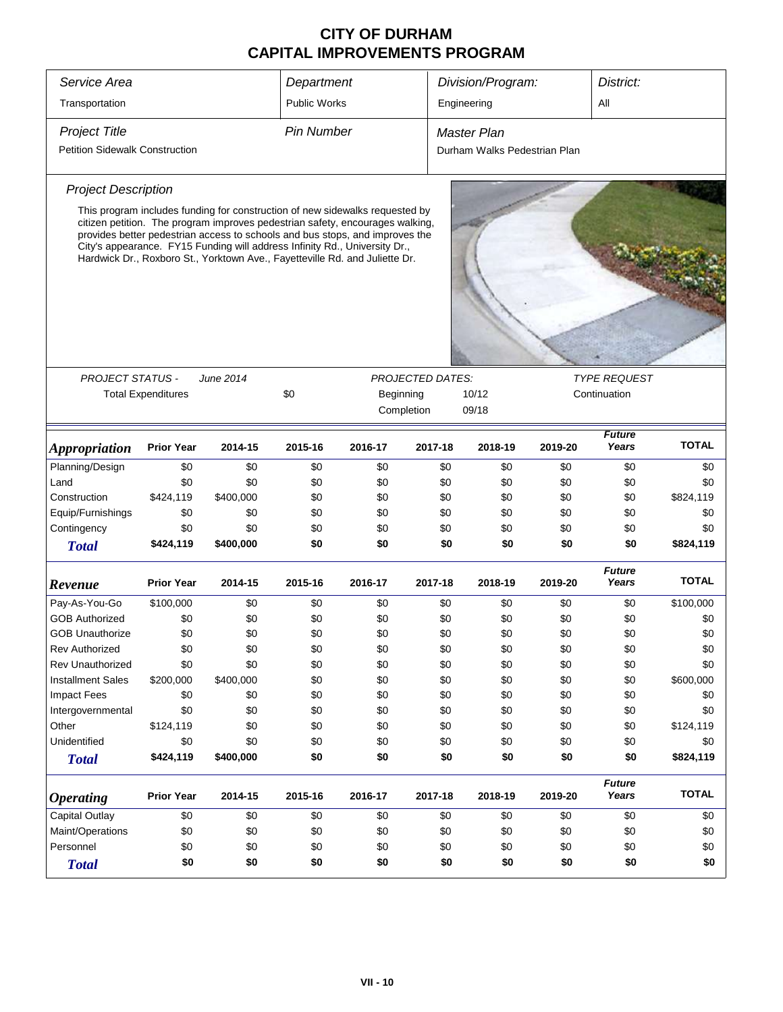| Service Area                          |                           |                                                                                                                                                                                                                                                                                                                                                                                                            | Department        |         |                         | Division/Program:            |         | District:              |              |
|---------------------------------------|---------------------------|------------------------------------------------------------------------------------------------------------------------------------------------------------------------------------------------------------------------------------------------------------------------------------------------------------------------------------------------------------------------------------------------------------|-------------------|---------|-------------------------|------------------------------|---------|------------------------|--------------|
| Transportation                        |                           |                                                                                                                                                                                                                                                                                                                                                                                                            | Public Works      |         |                         | Engineering                  |         | All                    |              |
| <b>Project Title</b>                  |                           |                                                                                                                                                                                                                                                                                                                                                                                                            | <b>Pin Number</b> |         |                         | <b>Master Plan</b>           |         |                        |              |
| <b>Petition Sidewalk Construction</b> |                           |                                                                                                                                                                                                                                                                                                                                                                                                            |                   |         |                         | Durham Walks Pedestrian Plan |         |                        |              |
| <b>Project Description</b>            |                           |                                                                                                                                                                                                                                                                                                                                                                                                            |                   |         |                         |                              |         |                        |              |
|                                       |                           | This program includes funding for construction of new sidewalks requested by<br>citizen petition. The program improves pedestrian safety, encourages walking,<br>provides better pedestrian access to schools and bus stops, and improves the<br>City's appearance. FY15 Funding will address Infinity Rd., University Dr.,<br>Hardwick Dr., Roxboro St., Yorktown Ave., Fayetteville Rd. and Juliette Dr. |                   |         |                         |                              |         |                        |              |
|                                       |                           |                                                                                                                                                                                                                                                                                                                                                                                                            |                   |         |                         |                              |         |                        |              |
| PROJECT STATUS -                      |                           | June 2014                                                                                                                                                                                                                                                                                                                                                                                                  |                   |         | <b>PROJECTED DATES:</b> |                              |         | <b>TYPE REQUEST</b>    |              |
|                                       | <b>Total Expenditures</b> |                                                                                                                                                                                                                                                                                                                                                                                                            | \$0               |         | Beginning               | 10/12                        |         | Continuation           |              |
|                                       |                           |                                                                                                                                                                                                                                                                                                                                                                                                            |                   |         | Completion              | 09/18                        |         |                        |              |
| <b>Appropriation</b>                  | <b>Prior Year</b>         | 2014-15                                                                                                                                                                                                                                                                                                                                                                                                    | 2015-16           | 2016-17 | 2017-18                 | 2018-19                      | 2019-20 | <b>Future</b><br>Years | <b>TOTAL</b> |
| Planning/Design                       | \$0                       | \$0                                                                                                                                                                                                                                                                                                                                                                                                        | \$0               | \$0     | \$0                     | \$0                          | \$0     | \$0                    | \$0          |
| Land                                  | \$0                       | \$0                                                                                                                                                                                                                                                                                                                                                                                                        | \$0               | \$0     | \$0                     | \$0                          | \$0     | \$0                    | \$0          |
| Construction                          | \$424,119                 | \$400,000                                                                                                                                                                                                                                                                                                                                                                                                  | \$0               | \$0     | \$0                     | \$0                          | \$0     | \$0                    | \$824,119    |
| Equip/Furnishings                     | \$0                       | \$0                                                                                                                                                                                                                                                                                                                                                                                                        | \$0               | \$0     | \$0                     | \$0                          | \$0     | \$0                    | \$0          |
| Contingency                           | \$0                       | \$0                                                                                                                                                                                                                                                                                                                                                                                                        | \$0               | \$0     | \$0                     | \$0                          | \$0     | \$0                    | \$0          |
| <b>Total</b>                          | \$424,119                 | \$400,000                                                                                                                                                                                                                                                                                                                                                                                                  | \$0               | \$0     | \$0                     | \$0                          | \$0     | \$0                    | \$824,119    |
| Revenue                               | <b>Prior Year</b>         | 2014-15                                                                                                                                                                                                                                                                                                                                                                                                    | 2015-16           | 2016-17 | 2017-18                 | 2018-19                      | 2019-20 | <b>Future</b><br>Years | <b>TOTAL</b> |
| Pay-As-You-Go                         | \$100,000                 | \$0                                                                                                                                                                                                                                                                                                                                                                                                        | \$0               | \$0     | \$0                     | \$0                          | \$0     | \$0                    | \$100,000    |
| <b>GOB Authorized</b>                 | \$0                       | \$0                                                                                                                                                                                                                                                                                                                                                                                                        | \$0               | \$0     | \$0                     | \$0                          | \$0     | \$0                    | \$0          |
| <b>GOB Unauthorize</b>                | \$0                       | \$0                                                                                                                                                                                                                                                                                                                                                                                                        | \$0               | \$0     | \$0                     | \$0                          | \$0     | \$0                    | \$0          |
| <b>Rev Authorized</b>                 | \$0                       | \$0                                                                                                                                                                                                                                                                                                                                                                                                        | \$0               | \$0     | \$0                     | \$0                          | \$0     | \$0                    | \$0          |
| <b>Rev Unauthorized</b>               | \$0                       | \$0                                                                                                                                                                                                                                                                                                                                                                                                        | \$0               | \$0     | \$0                     | \$0                          | \$0     | \$0                    | \$0          |
| <b>Installment Sales</b>              | \$200,000                 | \$400,000                                                                                                                                                                                                                                                                                                                                                                                                  | \$0               | \$0     | \$0                     | \$0                          | \$0     | \$0                    | \$600,000    |
| <b>Impact Fees</b>                    | \$0                       | \$0                                                                                                                                                                                                                                                                                                                                                                                                        | \$0               | \$0     | \$0                     | \$0                          | \$0     | \$0                    | \$0          |
| Intergovernmental                     | \$0                       | \$0                                                                                                                                                                                                                                                                                                                                                                                                        | \$0               | \$0     | \$0                     | \$0                          | \$0     | \$0                    | \$0          |
| Other                                 | \$124,119                 | \$0                                                                                                                                                                                                                                                                                                                                                                                                        | \$0               | \$0     | \$0                     | \$0                          | \$0     | \$0                    | \$124,119    |
| Unidentified                          | \$0                       | \$0                                                                                                                                                                                                                                                                                                                                                                                                        | \$0               | \$0     | \$0                     | \$0                          | \$0     | \$0                    | \$0          |
| <b>Total</b>                          | \$424,119                 | \$400,000                                                                                                                                                                                                                                                                                                                                                                                                  | \$0               | \$0     | \$0                     | \$0                          | \$0     | \$0                    | \$824,119    |
| <b>Operating</b>                      | <b>Prior Year</b>         | 2014-15                                                                                                                                                                                                                                                                                                                                                                                                    | 2015-16           | 2016-17 | 2017-18                 | 2018-19                      | 2019-20 | <b>Future</b><br>Years | <b>TOTAL</b> |
| Capital Outlay                        | \$0                       | \$0                                                                                                                                                                                                                                                                                                                                                                                                        | \$0               | \$0     | \$0                     | \$0                          | \$0     | \$0                    | \$0          |
| Maint/Operations                      | \$0                       | \$0                                                                                                                                                                                                                                                                                                                                                                                                        | \$0               | \$0     | \$0                     | \$0                          | \$0     | \$0                    | \$0          |
| Personnel                             | \$0                       | \$0                                                                                                                                                                                                                                                                                                                                                                                                        | \$0               | \$0     | \$0                     | \$0                          | \$0     | \$0                    | \$0          |
| <b>Total</b>                          | \$0                       | \$0                                                                                                                                                                                                                                                                                                                                                                                                        | \$0               | \$0     | \$0                     | \$0                          | \$0     | \$0                    | \$0          |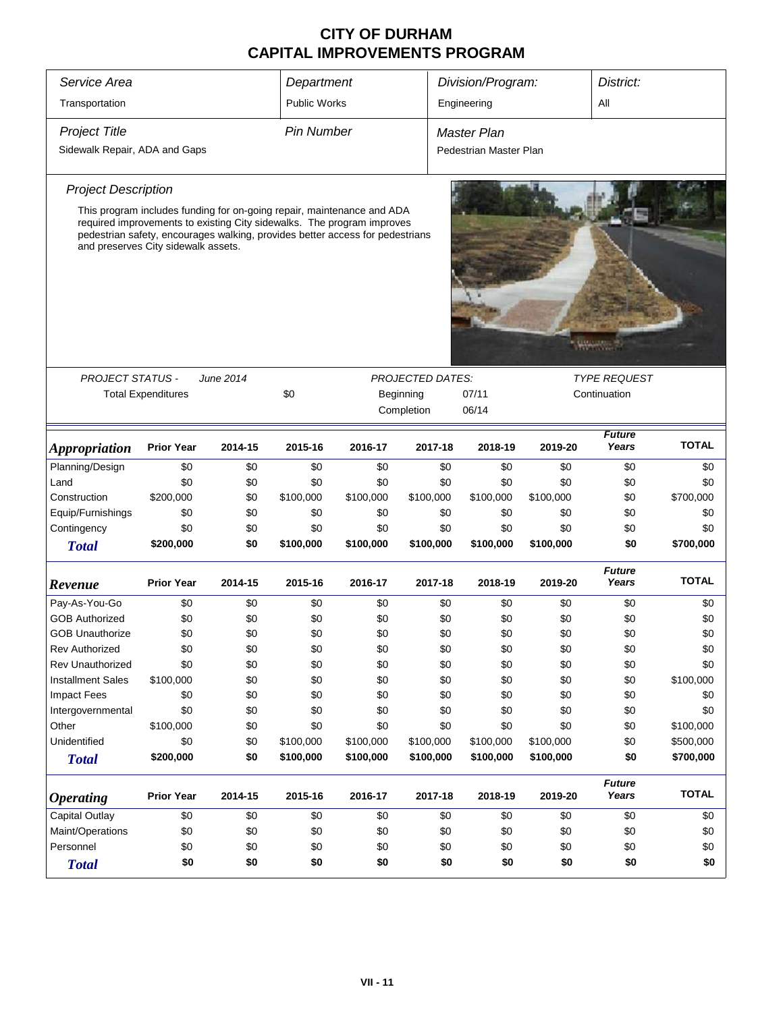| Service Area<br>Division/Program:<br>District:<br>Department<br>Transportation<br><b>Public Works</b><br>Engineering<br>All<br><b>Project Title</b><br><b>Pin Number</b><br><b>Master Plan</b><br>Sidewalk Repair, ADA and Gaps<br>Pedestrian Master Plan<br><b>Project Description</b><br>This program includes funding for on-going repair, maintenance and ADA<br>required improvements to existing City sidewalks. The program improves<br>pedestrian safety, encourages walking, provides better access for pedestrians<br>and preserves City sidewalk assets.<br><b>PROJECT STATUS -</b><br><b>TYPE REQUEST</b><br>June 2014<br><b>PROJECTED DATES:</b><br>\$0<br><b>Total Expenditures</b><br>07/11<br>Continuation<br>Beginning<br>Completion<br>06/14<br><b>Future</b><br><b>TOTAL</b><br>Years<br><b>Prior Year</b><br>2014-15<br>2015-16<br>2016-17<br>2017-18<br>2018-19<br>2019-20<br><i><b>Appropriation</b></i><br>Planning/Design<br>\$0<br>\$0<br>\$0<br>\$0<br>\$0<br>\$0<br>\$0<br>\$0<br>\$0<br>Land<br>\$0<br>\$0<br>\$0<br>\$0<br>\$0<br>\$0<br>\$0<br>\$0<br>\$0<br>\$700,000<br>Construction<br>\$200,000<br>\$0<br>\$100,000<br>\$100,000<br>\$100,000<br>\$100,000<br>\$100,000<br>\$0<br>Equip/Furnishings<br>\$0<br>\$0<br>\$0<br>\$0<br>\$0<br>\$0<br>\$0<br>\$0<br>\$0<br>Contingency<br>\$0<br>\$0<br>\$0<br>\$0<br>\$0<br>\$0<br>\$0<br>\$0<br>\$0<br>\$200,000<br>\$0<br>\$100,000<br>\$100,000<br>\$100,000<br>\$100,000<br>\$100,000<br>\$0<br>\$700,000<br><b>Total</b><br><b>Future</b><br><b>TOTAL</b><br>Years<br><b>Prior Year</b><br>2014-15<br>2015-16<br>2016-17<br>2017-18<br>2018-19<br>2019-20<br>Revenue<br>Pay-As-You-Go<br>\$0<br>\$0<br>\$0<br>\$0<br>\$0<br>\$0<br>\$0<br>\$0<br>\$0<br><b>GOB Authorized</b><br>\$0<br>\$0<br>\$0<br>\$0<br>\$0<br>\$0<br>\$0<br>\$0<br>\$0<br>\$0<br>\$0<br>\$0<br>\$0<br>\$0<br>\$0<br>\$0<br><b>GOB Unauthorize</b><br>\$0<br>\$0<br>\$0<br>\$0<br>\$0<br>\$0<br>\$0<br>\$0<br>\$0<br>\$0<br><b>Rev Authorized</b><br>\$0<br>Rev Unauthorized<br>\$0<br>\$0<br>\$0<br>\$0<br>\$0<br>\$0<br>\$0<br>\$0<br>\$0<br>\$0<br>\$0<br>\$0<br>\$100,000<br><b>Installment Sales</b><br>\$100,000<br>\$0<br>\$0<br>\$0<br>\$0<br><b>Impact Fees</b><br>\$0<br>\$0<br>\$0<br>\$0<br>\$0<br>\$0<br>\$0<br>\$0<br>\$0<br>\$0<br>\$0<br>\$0<br>\$0<br>\$0<br>\$0<br>\$0<br>\$0<br>\$0<br>Intergovernmental<br>\$100,000<br>Other<br>\$100,000<br>\$0<br>\$0<br>\$0<br>\$0<br>\$0<br>\$0<br>\$0<br>Unidentified<br>\$0<br>\$0<br>\$100,000<br>\$100,000<br>\$100,000<br>\$100,000<br>\$100,000<br>\$0<br>\$500,000<br>\$200,000<br>\$0<br>\$100,000<br>\$100,000<br>\$100,000<br>\$100,000<br>\$100,000<br>\$0<br>\$700,000<br><b>Total</b><br><b>Future</b><br><b>TOTAL</b><br><b>Prior Year</b><br>2015-16<br>Years<br>2014-15<br>2016-17<br>2017-18<br>2018-19<br>2019-20<br><b>Operating</b><br><b>Capital Outlay</b><br>\$0<br>\$0<br>\$0<br>\$0<br>\$0<br>\$0<br>\$0<br>\$0<br>\$0<br>Maint/Operations<br>\$0<br>\$0<br>\$0<br>\$0<br>\$0<br>\$0<br>\$0<br>\$0<br>\$0<br>\$0<br>\$0<br>\$0<br>\$0<br>Personnel<br>\$0<br>\$0<br>\$0<br>\$0<br>\$0 |              |     |     |     |     |     |     |     |     |     |
|---------------------------------------------------------------------------------------------------------------------------------------------------------------------------------------------------------------------------------------------------------------------------------------------------------------------------------------------------------------------------------------------------------------------------------------------------------------------------------------------------------------------------------------------------------------------------------------------------------------------------------------------------------------------------------------------------------------------------------------------------------------------------------------------------------------------------------------------------------------------------------------------------------------------------------------------------------------------------------------------------------------------------------------------------------------------------------------------------------------------------------------------------------------------------------------------------------------------------------------------------------------------------------------------------------------------------------------------------------------------------------------------------------------------------------------------------------------------------------------------------------------------------------------------------------------------------------------------------------------------------------------------------------------------------------------------------------------------------------------------------------------------------------------------------------------------------------------------------------------------------------------------------------------------------------------------------------------------------------------------------------------------------------------------------------------------------------------------------------------------------------------------------------------------------------------------------------------------------------------------------------------------------------------------------------------------------------------------------------------------------------------------------------------------------------------------------------------------------------------------------------------------------------------------------------------------------------------------------------------------------------------------------------------------------------------------------------------------------------------------------------------------------------------------------------------------------------------------------------------------------------------------------------------------------------------------------------------------------------------------------------------------------------------------------------------------------------------------------------------------------------|--------------|-----|-----|-----|-----|-----|-----|-----|-----|-----|
|                                                                                                                                                                                                                                                                                                                                                                                                                                                                                                                                                                                                                                                                                                                                                                                                                                                                                                                                                                                                                                                                                                                                                                                                                                                                                                                                                                                                                                                                                                                                                                                                                                                                                                                                                                                                                                                                                                                                                                                                                                                                                                                                                                                                                                                                                                                                                                                                                                                                                                                                                                                                                                                                                                                                                                                                                                                                                                                                                                                                                                                                                                                                 |              |     |     |     |     |     |     |     |     |     |
|                                                                                                                                                                                                                                                                                                                                                                                                                                                                                                                                                                                                                                                                                                                                                                                                                                                                                                                                                                                                                                                                                                                                                                                                                                                                                                                                                                                                                                                                                                                                                                                                                                                                                                                                                                                                                                                                                                                                                                                                                                                                                                                                                                                                                                                                                                                                                                                                                                                                                                                                                                                                                                                                                                                                                                                                                                                                                                                                                                                                                                                                                                                                 |              |     |     |     |     |     |     |     |     |     |
|                                                                                                                                                                                                                                                                                                                                                                                                                                                                                                                                                                                                                                                                                                                                                                                                                                                                                                                                                                                                                                                                                                                                                                                                                                                                                                                                                                                                                                                                                                                                                                                                                                                                                                                                                                                                                                                                                                                                                                                                                                                                                                                                                                                                                                                                                                                                                                                                                                                                                                                                                                                                                                                                                                                                                                                                                                                                                                                                                                                                                                                                                                                                 |              |     |     |     |     |     |     |     |     |     |
|                                                                                                                                                                                                                                                                                                                                                                                                                                                                                                                                                                                                                                                                                                                                                                                                                                                                                                                                                                                                                                                                                                                                                                                                                                                                                                                                                                                                                                                                                                                                                                                                                                                                                                                                                                                                                                                                                                                                                                                                                                                                                                                                                                                                                                                                                                                                                                                                                                                                                                                                                                                                                                                                                                                                                                                                                                                                                                                                                                                                                                                                                                                                 |              |     |     |     |     |     |     |     |     |     |
|                                                                                                                                                                                                                                                                                                                                                                                                                                                                                                                                                                                                                                                                                                                                                                                                                                                                                                                                                                                                                                                                                                                                                                                                                                                                                                                                                                                                                                                                                                                                                                                                                                                                                                                                                                                                                                                                                                                                                                                                                                                                                                                                                                                                                                                                                                                                                                                                                                                                                                                                                                                                                                                                                                                                                                                                                                                                                                                                                                                                                                                                                                                                 |              |     |     |     |     |     |     |     |     |     |
|                                                                                                                                                                                                                                                                                                                                                                                                                                                                                                                                                                                                                                                                                                                                                                                                                                                                                                                                                                                                                                                                                                                                                                                                                                                                                                                                                                                                                                                                                                                                                                                                                                                                                                                                                                                                                                                                                                                                                                                                                                                                                                                                                                                                                                                                                                                                                                                                                                                                                                                                                                                                                                                                                                                                                                                                                                                                                                                                                                                                                                                                                                                                 |              |     |     |     |     |     |     |     |     |     |
|                                                                                                                                                                                                                                                                                                                                                                                                                                                                                                                                                                                                                                                                                                                                                                                                                                                                                                                                                                                                                                                                                                                                                                                                                                                                                                                                                                                                                                                                                                                                                                                                                                                                                                                                                                                                                                                                                                                                                                                                                                                                                                                                                                                                                                                                                                                                                                                                                                                                                                                                                                                                                                                                                                                                                                                                                                                                                                                                                                                                                                                                                                                                 |              |     |     |     |     |     |     |     |     |     |
|                                                                                                                                                                                                                                                                                                                                                                                                                                                                                                                                                                                                                                                                                                                                                                                                                                                                                                                                                                                                                                                                                                                                                                                                                                                                                                                                                                                                                                                                                                                                                                                                                                                                                                                                                                                                                                                                                                                                                                                                                                                                                                                                                                                                                                                                                                                                                                                                                                                                                                                                                                                                                                                                                                                                                                                                                                                                                                                                                                                                                                                                                                                                 |              |     |     |     |     |     |     |     |     |     |
|                                                                                                                                                                                                                                                                                                                                                                                                                                                                                                                                                                                                                                                                                                                                                                                                                                                                                                                                                                                                                                                                                                                                                                                                                                                                                                                                                                                                                                                                                                                                                                                                                                                                                                                                                                                                                                                                                                                                                                                                                                                                                                                                                                                                                                                                                                                                                                                                                                                                                                                                                                                                                                                                                                                                                                                                                                                                                                                                                                                                                                                                                                                                 |              |     |     |     |     |     |     |     |     |     |
|                                                                                                                                                                                                                                                                                                                                                                                                                                                                                                                                                                                                                                                                                                                                                                                                                                                                                                                                                                                                                                                                                                                                                                                                                                                                                                                                                                                                                                                                                                                                                                                                                                                                                                                                                                                                                                                                                                                                                                                                                                                                                                                                                                                                                                                                                                                                                                                                                                                                                                                                                                                                                                                                                                                                                                                                                                                                                                                                                                                                                                                                                                                                 |              |     |     |     |     |     |     |     |     |     |
|                                                                                                                                                                                                                                                                                                                                                                                                                                                                                                                                                                                                                                                                                                                                                                                                                                                                                                                                                                                                                                                                                                                                                                                                                                                                                                                                                                                                                                                                                                                                                                                                                                                                                                                                                                                                                                                                                                                                                                                                                                                                                                                                                                                                                                                                                                                                                                                                                                                                                                                                                                                                                                                                                                                                                                                                                                                                                                                                                                                                                                                                                                                                 |              |     |     |     |     |     |     |     |     |     |
|                                                                                                                                                                                                                                                                                                                                                                                                                                                                                                                                                                                                                                                                                                                                                                                                                                                                                                                                                                                                                                                                                                                                                                                                                                                                                                                                                                                                                                                                                                                                                                                                                                                                                                                                                                                                                                                                                                                                                                                                                                                                                                                                                                                                                                                                                                                                                                                                                                                                                                                                                                                                                                                                                                                                                                                                                                                                                                                                                                                                                                                                                                                                 |              |     |     |     |     |     |     |     |     |     |
|                                                                                                                                                                                                                                                                                                                                                                                                                                                                                                                                                                                                                                                                                                                                                                                                                                                                                                                                                                                                                                                                                                                                                                                                                                                                                                                                                                                                                                                                                                                                                                                                                                                                                                                                                                                                                                                                                                                                                                                                                                                                                                                                                                                                                                                                                                                                                                                                                                                                                                                                                                                                                                                                                                                                                                                                                                                                                                                                                                                                                                                                                                                                 |              |     |     |     |     |     |     |     |     |     |
|                                                                                                                                                                                                                                                                                                                                                                                                                                                                                                                                                                                                                                                                                                                                                                                                                                                                                                                                                                                                                                                                                                                                                                                                                                                                                                                                                                                                                                                                                                                                                                                                                                                                                                                                                                                                                                                                                                                                                                                                                                                                                                                                                                                                                                                                                                                                                                                                                                                                                                                                                                                                                                                                                                                                                                                                                                                                                                                                                                                                                                                                                                                                 |              |     |     |     |     |     |     |     |     |     |
|                                                                                                                                                                                                                                                                                                                                                                                                                                                                                                                                                                                                                                                                                                                                                                                                                                                                                                                                                                                                                                                                                                                                                                                                                                                                                                                                                                                                                                                                                                                                                                                                                                                                                                                                                                                                                                                                                                                                                                                                                                                                                                                                                                                                                                                                                                                                                                                                                                                                                                                                                                                                                                                                                                                                                                                                                                                                                                                                                                                                                                                                                                                                 |              |     |     |     |     |     |     |     |     |     |
|                                                                                                                                                                                                                                                                                                                                                                                                                                                                                                                                                                                                                                                                                                                                                                                                                                                                                                                                                                                                                                                                                                                                                                                                                                                                                                                                                                                                                                                                                                                                                                                                                                                                                                                                                                                                                                                                                                                                                                                                                                                                                                                                                                                                                                                                                                                                                                                                                                                                                                                                                                                                                                                                                                                                                                                                                                                                                                                                                                                                                                                                                                                                 |              |     |     |     |     |     |     |     |     |     |
|                                                                                                                                                                                                                                                                                                                                                                                                                                                                                                                                                                                                                                                                                                                                                                                                                                                                                                                                                                                                                                                                                                                                                                                                                                                                                                                                                                                                                                                                                                                                                                                                                                                                                                                                                                                                                                                                                                                                                                                                                                                                                                                                                                                                                                                                                                                                                                                                                                                                                                                                                                                                                                                                                                                                                                                                                                                                                                                                                                                                                                                                                                                                 |              |     |     |     |     |     |     |     |     |     |
|                                                                                                                                                                                                                                                                                                                                                                                                                                                                                                                                                                                                                                                                                                                                                                                                                                                                                                                                                                                                                                                                                                                                                                                                                                                                                                                                                                                                                                                                                                                                                                                                                                                                                                                                                                                                                                                                                                                                                                                                                                                                                                                                                                                                                                                                                                                                                                                                                                                                                                                                                                                                                                                                                                                                                                                                                                                                                                                                                                                                                                                                                                                                 |              |     |     |     |     |     |     |     |     |     |
|                                                                                                                                                                                                                                                                                                                                                                                                                                                                                                                                                                                                                                                                                                                                                                                                                                                                                                                                                                                                                                                                                                                                                                                                                                                                                                                                                                                                                                                                                                                                                                                                                                                                                                                                                                                                                                                                                                                                                                                                                                                                                                                                                                                                                                                                                                                                                                                                                                                                                                                                                                                                                                                                                                                                                                                                                                                                                                                                                                                                                                                                                                                                 |              |     |     |     |     |     |     |     |     |     |
|                                                                                                                                                                                                                                                                                                                                                                                                                                                                                                                                                                                                                                                                                                                                                                                                                                                                                                                                                                                                                                                                                                                                                                                                                                                                                                                                                                                                                                                                                                                                                                                                                                                                                                                                                                                                                                                                                                                                                                                                                                                                                                                                                                                                                                                                                                                                                                                                                                                                                                                                                                                                                                                                                                                                                                                                                                                                                                                                                                                                                                                                                                                                 |              |     |     |     |     |     |     |     |     |     |
|                                                                                                                                                                                                                                                                                                                                                                                                                                                                                                                                                                                                                                                                                                                                                                                                                                                                                                                                                                                                                                                                                                                                                                                                                                                                                                                                                                                                                                                                                                                                                                                                                                                                                                                                                                                                                                                                                                                                                                                                                                                                                                                                                                                                                                                                                                                                                                                                                                                                                                                                                                                                                                                                                                                                                                                                                                                                                                                                                                                                                                                                                                                                 |              |     |     |     |     |     |     |     |     |     |
|                                                                                                                                                                                                                                                                                                                                                                                                                                                                                                                                                                                                                                                                                                                                                                                                                                                                                                                                                                                                                                                                                                                                                                                                                                                                                                                                                                                                                                                                                                                                                                                                                                                                                                                                                                                                                                                                                                                                                                                                                                                                                                                                                                                                                                                                                                                                                                                                                                                                                                                                                                                                                                                                                                                                                                                                                                                                                                                                                                                                                                                                                                                                 |              |     |     |     |     |     |     |     |     |     |
|                                                                                                                                                                                                                                                                                                                                                                                                                                                                                                                                                                                                                                                                                                                                                                                                                                                                                                                                                                                                                                                                                                                                                                                                                                                                                                                                                                                                                                                                                                                                                                                                                                                                                                                                                                                                                                                                                                                                                                                                                                                                                                                                                                                                                                                                                                                                                                                                                                                                                                                                                                                                                                                                                                                                                                                                                                                                                                                                                                                                                                                                                                                                 |              |     |     |     |     |     |     |     |     |     |
|                                                                                                                                                                                                                                                                                                                                                                                                                                                                                                                                                                                                                                                                                                                                                                                                                                                                                                                                                                                                                                                                                                                                                                                                                                                                                                                                                                                                                                                                                                                                                                                                                                                                                                                                                                                                                                                                                                                                                                                                                                                                                                                                                                                                                                                                                                                                                                                                                                                                                                                                                                                                                                                                                                                                                                                                                                                                                                                                                                                                                                                                                                                                 |              |     |     |     |     |     |     |     |     |     |
|                                                                                                                                                                                                                                                                                                                                                                                                                                                                                                                                                                                                                                                                                                                                                                                                                                                                                                                                                                                                                                                                                                                                                                                                                                                                                                                                                                                                                                                                                                                                                                                                                                                                                                                                                                                                                                                                                                                                                                                                                                                                                                                                                                                                                                                                                                                                                                                                                                                                                                                                                                                                                                                                                                                                                                                                                                                                                                                                                                                                                                                                                                                                 |              |     |     |     |     |     |     |     |     |     |
|                                                                                                                                                                                                                                                                                                                                                                                                                                                                                                                                                                                                                                                                                                                                                                                                                                                                                                                                                                                                                                                                                                                                                                                                                                                                                                                                                                                                                                                                                                                                                                                                                                                                                                                                                                                                                                                                                                                                                                                                                                                                                                                                                                                                                                                                                                                                                                                                                                                                                                                                                                                                                                                                                                                                                                                                                                                                                                                                                                                                                                                                                                                                 |              |     |     |     |     |     |     |     |     |     |
|                                                                                                                                                                                                                                                                                                                                                                                                                                                                                                                                                                                                                                                                                                                                                                                                                                                                                                                                                                                                                                                                                                                                                                                                                                                                                                                                                                                                                                                                                                                                                                                                                                                                                                                                                                                                                                                                                                                                                                                                                                                                                                                                                                                                                                                                                                                                                                                                                                                                                                                                                                                                                                                                                                                                                                                                                                                                                                                                                                                                                                                                                                                                 |              |     |     |     |     |     |     |     |     |     |
|                                                                                                                                                                                                                                                                                                                                                                                                                                                                                                                                                                                                                                                                                                                                                                                                                                                                                                                                                                                                                                                                                                                                                                                                                                                                                                                                                                                                                                                                                                                                                                                                                                                                                                                                                                                                                                                                                                                                                                                                                                                                                                                                                                                                                                                                                                                                                                                                                                                                                                                                                                                                                                                                                                                                                                                                                                                                                                                                                                                                                                                                                                                                 |              |     |     |     |     |     |     |     |     |     |
|                                                                                                                                                                                                                                                                                                                                                                                                                                                                                                                                                                                                                                                                                                                                                                                                                                                                                                                                                                                                                                                                                                                                                                                                                                                                                                                                                                                                                                                                                                                                                                                                                                                                                                                                                                                                                                                                                                                                                                                                                                                                                                                                                                                                                                                                                                                                                                                                                                                                                                                                                                                                                                                                                                                                                                                                                                                                                                                                                                                                                                                                                                                                 |              |     |     |     |     |     |     |     |     |     |
|                                                                                                                                                                                                                                                                                                                                                                                                                                                                                                                                                                                                                                                                                                                                                                                                                                                                                                                                                                                                                                                                                                                                                                                                                                                                                                                                                                                                                                                                                                                                                                                                                                                                                                                                                                                                                                                                                                                                                                                                                                                                                                                                                                                                                                                                                                                                                                                                                                                                                                                                                                                                                                                                                                                                                                                                                                                                                                                                                                                                                                                                                                                                 |              |     |     |     |     |     |     |     |     |     |
|                                                                                                                                                                                                                                                                                                                                                                                                                                                                                                                                                                                                                                                                                                                                                                                                                                                                                                                                                                                                                                                                                                                                                                                                                                                                                                                                                                                                                                                                                                                                                                                                                                                                                                                                                                                                                                                                                                                                                                                                                                                                                                                                                                                                                                                                                                                                                                                                                                                                                                                                                                                                                                                                                                                                                                                                                                                                                                                                                                                                                                                                                                                                 |              |     |     |     |     |     |     |     |     |     |
|                                                                                                                                                                                                                                                                                                                                                                                                                                                                                                                                                                                                                                                                                                                                                                                                                                                                                                                                                                                                                                                                                                                                                                                                                                                                                                                                                                                                                                                                                                                                                                                                                                                                                                                                                                                                                                                                                                                                                                                                                                                                                                                                                                                                                                                                                                                                                                                                                                                                                                                                                                                                                                                                                                                                                                                                                                                                                                                                                                                                                                                                                                                                 |              |     |     |     |     |     |     |     |     |     |
|                                                                                                                                                                                                                                                                                                                                                                                                                                                                                                                                                                                                                                                                                                                                                                                                                                                                                                                                                                                                                                                                                                                                                                                                                                                                                                                                                                                                                                                                                                                                                                                                                                                                                                                                                                                                                                                                                                                                                                                                                                                                                                                                                                                                                                                                                                                                                                                                                                                                                                                                                                                                                                                                                                                                                                                                                                                                                                                                                                                                                                                                                                                                 |              |     |     |     |     |     |     |     |     |     |
|                                                                                                                                                                                                                                                                                                                                                                                                                                                                                                                                                                                                                                                                                                                                                                                                                                                                                                                                                                                                                                                                                                                                                                                                                                                                                                                                                                                                                                                                                                                                                                                                                                                                                                                                                                                                                                                                                                                                                                                                                                                                                                                                                                                                                                                                                                                                                                                                                                                                                                                                                                                                                                                                                                                                                                                                                                                                                                                                                                                                                                                                                                                                 |              |     |     |     |     |     |     |     |     |     |
|                                                                                                                                                                                                                                                                                                                                                                                                                                                                                                                                                                                                                                                                                                                                                                                                                                                                                                                                                                                                                                                                                                                                                                                                                                                                                                                                                                                                                                                                                                                                                                                                                                                                                                                                                                                                                                                                                                                                                                                                                                                                                                                                                                                                                                                                                                                                                                                                                                                                                                                                                                                                                                                                                                                                                                                                                                                                                                                                                                                                                                                                                                                                 | <b>Total</b> | \$0 | \$0 | \$0 | \$0 | \$0 | \$0 | \$0 | \$0 | \$0 |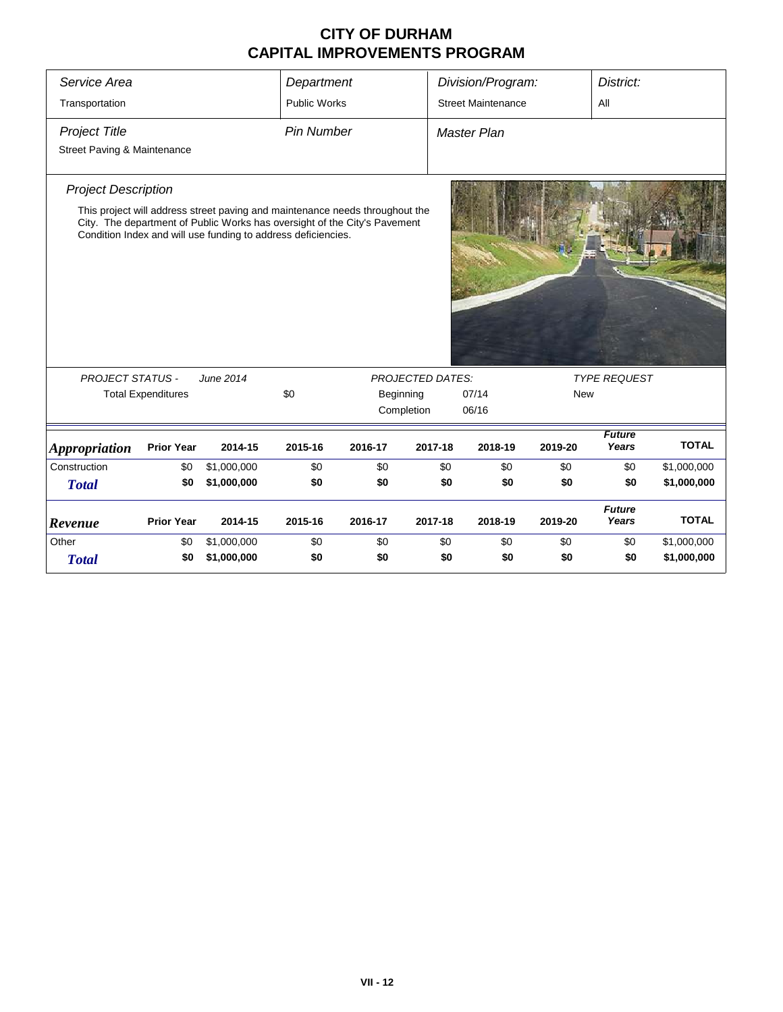| Service Area                                                                                                                                                                                                                                             |                   |             | Department          | Division/Program:       |                           |             |                                   | District:              |              |  |  |  |  |
|----------------------------------------------------------------------------------------------------------------------------------------------------------------------------------------------------------------------------------------------------------|-------------------|-------------|---------------------|-------------------------|---------------------------|-------------|-----------------------------------|------------------------|--------------|--|--|--|--|
| Transportation                                                                                                                                                                                                                                           |                   |             | <b>Public Works</b> |                         | <b>Street Maintenance</b> |             | All                               |                        |              |  |  |  |  |
| <b>Project Title</b>                                                                                                                                                                                                                                     |                   |             | <b>Pin Number</b>   |                         |                           | Master Plan |                                   |                        |              |  |  |  |  |
| Street Paving & Maintenance                                                                                                                                                                                                                              |                   |             |                     |                         |                           |             |                                   |                        |              |  |  |  |  |
| <b>Project Description</b><br>This project will address street paving and maintenance needs throughout the<br>City. The department of Public Works has oversight of the City's Pavement<br>Condition Index and will use funding to address deficiencies. |                   |             |                     |                         |                           |             |                                   |                        |              |  |  |  |  |
|                                                                                                                                                                                                                                                          |                   |             |                     |                         |                           |             |                                   |                        |              |  |  |  |  |
| <b>PROJECT STATUS -</b><br>June 2014                                                                                                                                                                                                                     |                   |             | \$0                 |                         | <b>PROJECTED DATES:</b>   | 07/14       | <b>TYPE REQUEST</b><br><b>New</b> |                        |              |  |  |  |  |
| <b>Total Expenditures</b>                                                                                                                                                                                                                                |                   |             |                     | Beginning<br>Completion |                           | 06/16       |                                   |                        |              |  |  |  |  |
| <b>Appropriation</b>                                                                                                                                                                                                                                     | <b>Prior Year</b> | 2014-15     | 2015-16             | 2016-17                 | 2017-18                   | 2018-19     | 2019-20                           | <b>Future</b><br>Years | <b>TOTAL</b> |  |  |  |  |
| Construction                                                                                                                                                                                                                                             | \$0               | \$1,000,000 | \$0                 | \$0                     | \$0                       | \$0         | \$0                               | \$0                    | \$1,000,000  |  |  |  |  |
| <b>Total</b>                                                                                                                                                                                                                                             | \$0               | \$1,000,000 | \$0                 | \$0                     | \$0                       | \$0         | \$0                               | \$0                    | \$1,000,000  |  |  |  |  |
| Revenue                                                                                                                                                                                                                                                  | <b>Prior Year</b> | 2014-15     | 2015-16             | 2016-17                 | 2017-18                   | 2018-19     | 2019-20                           | <b>Future</b><br>Years | <b>TOTAL</b> |  |  |  |  |
| Other                                                                                                                                                                                                                                                    | \$0               | \$1,000,000 | \$0                 | \$0                     | \$0                       | \$0         | \$0                               | \$0                    | \$1,000,000  |  |  |  |  |
| <b>Total</b>                                                                                                                                                                                                                                             | \$0               | \$1,000,000 | \$0                 | \$0                     | \$0                       | \$0         | \$0                               | \$0                    | \$1,000,000  |  |  |  |  |